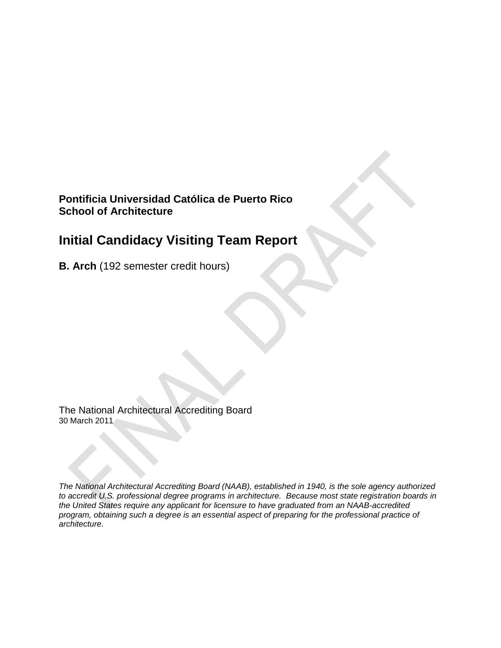# **Pontificia Universidad Católica de Puerto Rico School of Architecture**

# **Initial Candidacy Visiting Team Report**

**B. Arch** (192 semester credit hours)

The National Architectural Accrediting Board 30 March 2011

*The National Architectural Accrediting Board (NAAB), established in 1940, is the sole agency authorized to accredit U.S. professional degree programs in architecture. Because most state registration boards in the United States require any applicant for licensure to have graduated from an NAAB-accredited program, obtaining such a degree is an essential aspect of preparing for the professional practice of architecture.*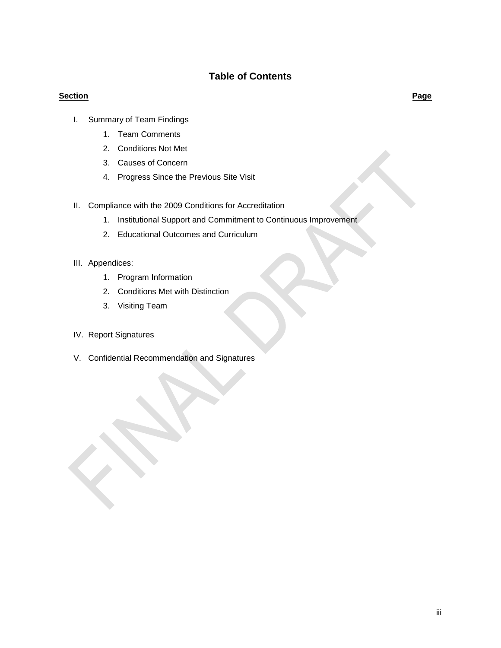# **Table of Contents**

### **Section Page**

- I. Summary of Team Findings
	- 1. Team Comments
	- 2. Conditions Not Met
	- 3. Causes of Concern
	- 4. Progress Since the Previous Site Visit
- II. Compliance with the 2009 Conditions for Accreditation
	- 1. Institutional Support and Commitment to Continuous Improvement
	- 2. Educational Outcomes and Curriculum
- III. Appendices:
	- 1. Program Information
	- 2. Conditions Met with Distinction
	- 3. Visiting Team
- IV. Report Signatures
- V. Confidential Recommendation and Signatures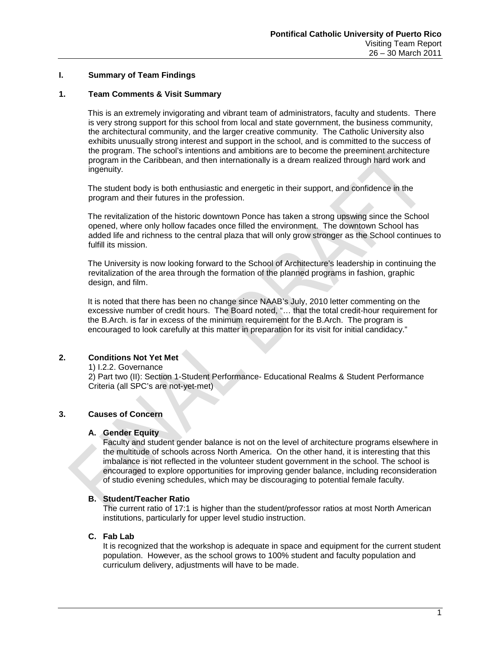### **I. Summary of Team Findings**

### **1. Team Comments & Visit Summary**

This is an extremely invigorating and vibrant team of administrators, faculty and students. There is very strong support for this school from local and state government, the business community, the architectural community, and the larger creative community. The Catholic University also exhibits unusually strong interest and support in the school, and is committed to the success of the program. The school's intentions and ambitions are to become the preeminent architecture program in the Caribbean, and then internationally is a dream realized through hard work and ingenuity.

The student body is both enthusiastic and energetic in their support, and confidence in the program and their futures in the profession.

The revitalization of the historic downtown Ponce has taken a strong upswing since the School opened, where only hollow facades once filled the environment. The downtown School has added life and richness to the central plaza that will only grow stronger as the School continues to fulfill its mission.

The University is now looking forward to the School of Architecture's leadership in continuing the revitalization of the area through the formation of the planned programs in fashion, graphic design, and film.

It is noted that there has been no change since NAAB's July, 2010 letter commenting on the excessive number of credit hours. The Board noted, "… that the total credit-hour requirement for the B.Arch. is far in excess of the minimum requirement for the B.Arch. The program is encouraged to look carefully at this matter in preparation for its visit for initial candidacy."

### **2. Conditions Not Yet Met**

1) I.2.2. Governance

2) Part two (II): Section 1-Student Performance- Educational Realms & Student Performance Criteria (all SPC's are not-yet-met)

### **3. Causes of Concern**

### **A. Gender Equity**

Faculty and student gender balance is not on the level of architecture programs elsewhere in the multitude of schools across North America. On the other hand, it is interesting that this imbalance is not reflected in the volunteer student government in the school. The school is encouraged to explore opportunities for improving gender balance, including reconsideration of studio evening schedules, which may be discouraging to potential female faculty.

### **B. Student/Teacher Ratio**

The current ratio of 17:1 is higher than the student/professor ratios at most North American institutions, particularly for upper level studio instruction.

### **C. Fab Lab**

It is recognized that the workshop is adequate in space and equipment for the current student population. However, as the school grows to 100% student and faculty population and curriculum delivery, adjustments will have to be made.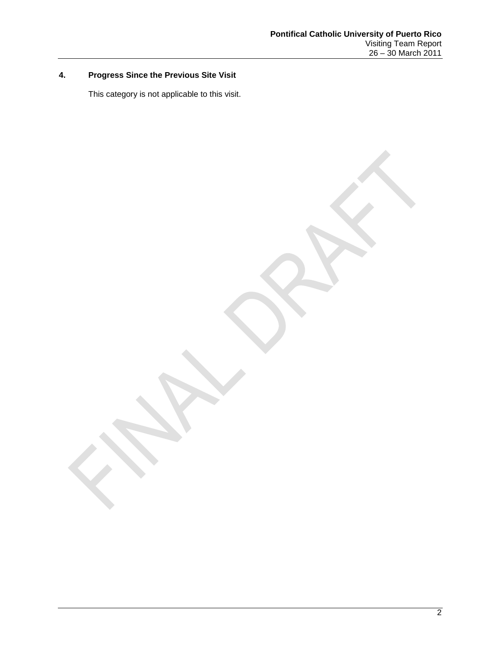# **4. Progress Since the Previous Site Visit**

This category is not applicable to this visit.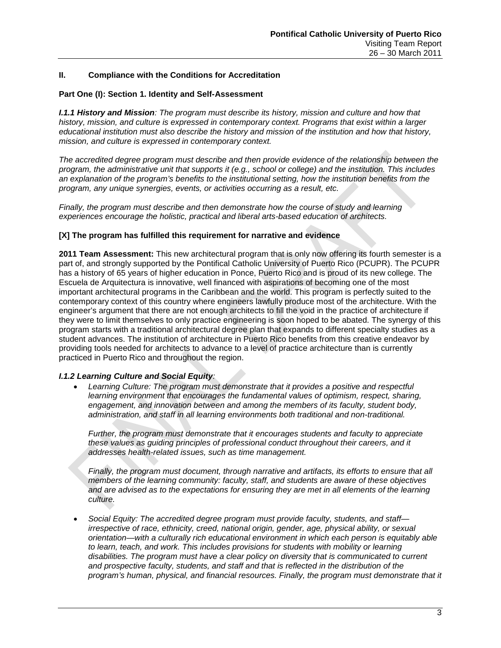### **II. Compliance with the Conditions for Accreditation**

### **Part One (I): Section 1. Identity and Self-Assessment**

*I.1.1 History and Mission: The program must describe its history, mission and culture and how that history, mission, and culture is expressed in contemporary context. Programs that exist within a larger educational institution must also describe the history and mission of the institution and how that history, mission, and culture is expressed in contemporary context.*

*The accredited degree program must describe and then provide evidence of the relationship between the program, the administrative unit that supports it (e.g., school or college) and the institution. This includes an explanation of the program's benefits to the institutional setting, how the institution benefits from the program, any unique synergies, events, or activities occurring as a result, etc.* 

*Finally, the program must describe and then demonstrate how the course of study and learning experiences encourage the holistic, practical and liberal arts-based education of architects.* 

### **[X] The program has fulfilled this requirement for narrative and evidence**

**2011 Team Assessment:** This new architectural program that is only now offering its fourth semester is a part of, and strongly supported by the Pontifical Catholic University of Puerto Rico (PCUPR). The PCUPR has a history of 65 years of higher education in Ponce, Puerto Rico and is proud of its new college. The Escuela de Arquitectura is innovative, well financed with aspirations of becoming one of the most important architectural programs in the Caribbean and the world. This program is perfectly suited to the contemporary context of this country where engineers lawfully produce most of the architecture. With the engineer's argument that there are not enough architects to fill the void in the practice of architecture if they were to limit themselves to only practice engineering is soon hoped to be abated. The synergy of this program starts with a traditional architectural degree plan that expands to different specialty studies as a student advances. The institution of architecture in Puerto Rico benefits from this creative endeavor by providing tools needed for architects to advance to a level of practice architecture than is currently practiced in Puerto Rico and throughout the region.

### *I.1.2 Learning Culture and Social Equity:*

• *Learning Culture: The program must demonstrate that it provides a positive and respectful learning environment that encourages the fundamental values of optimism, respect, sharing, engagement, and innovation between and among the members of its faculty, student body, administration, and staff in all learning environments both traditional and non-traditional.* 

*Further, the program must demonstrate that it encourages students and faculty to appreciate these values as guiding principles of professional conduct throughout their careers, and it addresses health-related issues, such as time management.*

*Finally, the program must document, through narrative and artifacts, its efforts to ensure that all members of the learning community: faculty, staff, and students are aware of these objectives and are advised as to the expectations for ensuring they are met in all elements of the learning culture.*

• *Social Equity: The accredited degree program must provide faculty, students, and staff irrespective of race, ethnicity, creed, national origin, gender, age, physical ability, or sexual orientation—with a culturally rich educational environment in which each person is equitably able*  to learn, teach, and work. This includes provisions for students with mobility or learning *disabilities. The program must have a clear policy on diversity that is communicated to current and prospective faculty, students, and staff and that is reflected in the distribution of the program's human, physical, and financial resources. Finally, the program must demonstrate that it*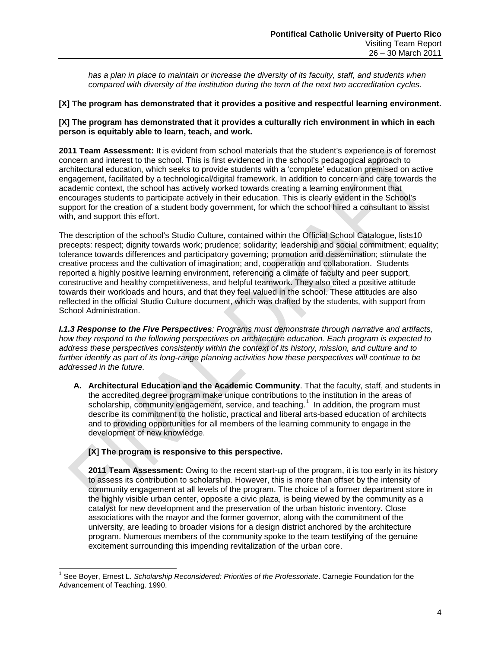has a plan in place to maintain or increase the diversity of its faculty, staff, and students when *compared with diversity of the institution during the term of the next two accreditation cycles.*

### **[X] The program has demonstrated that it provides a positive and respectful learning environment.**

### **[X] The program has demonstrated that it provides a culturally rich environment in which in each person is equitably able to learn, teach, and work.**

**2011 Team Assessment:** It is evident from school materials that the student's experience is of foremost concern and interest to the school. This is first evidenced in the school's pedagogical approach to architectural education, which seeks to provide students with a 'complete' education premised on active engagement, facilitated by a technological/digital framework. In addition to concern and care towards the academic context, the school has actively worked towards creating a learning environment that encourages students to participate actively in their education. This is clearly evident in the School's support for the creation of a student body government, for which the school hired a consultant to assist with, and support this effort.

The description of the school's Studio Culture, contained within the Official School Catalogue, lists10 precepts: respect; dignity towards work; prudence; solidarity; leadership and social commitment; equality; tolerance towards differences and participatory governing; promotion and dissemination; stimulate the creative process and the cultivation of imagination; and, cooperation and collaboration. Students reported a highly positive learning environment, referencing a climate of faculty and peer support, constructive and healthy competitiveness, and helpful teamwork. They also cited a positive attitude towards their workloads and hours, and that they feel valued in the school. These attitudes are also reflected in the official Studio Culture document, which was drafted by the students, with support from School Administration.

*I.1.3 Response to the Five Perspectives: Programs must demonstrate through narrative and artifacts, how they respond to the following perspectives on architecture education. Each program is expected to address these perspectives consistently within the context of its history, mission, and culture and to further identify as part of its long-range planning activities how these perspectives will continue to be addressed in the future.*

**A. Architectural Education and the Academic Community**. That the faculty, staff, and students in the accredited degree program make unique contributions to the institution in the areas of scholarship, community engagement, service, and teaching.<sup>[1](#page-5-0)</sup> In addition, the program must describe its commitment to the holistic, practical and liberal arts-based education of architects and to providing opportunities for all members of the learning community to engage in the development of new knowledge.

### **[X] The program is responsive to this perspective.**

**2011 Team Assessment:** Owing to the recent start-up of the program, it is too early in its history to assess its contribution to scholarship. However, this is more than offset by the intensity of community engagement at all levels of the program. The choice of a former department store in the highly visible urban center, opposite a civic plaza, is being viewed by the community as a catalyst for new development and the preservation of the urban historic inventory. Close associations with the mayor and the former governor, along with the commitment of the university, are leading to broader visions for a design district anchored by the architecture program. Numerous members of the community spoke to the team testifying of the genuine excitement surrounding this impending revitalization of the urban core.

<span id="page-5-0"></span> <sup>1</sup> See Boyer, Ernest L. *Scholarship Reconsidered: Priorities of the Professoriate*. Carnegie Foundation for the Advancement of Teaching. 1990.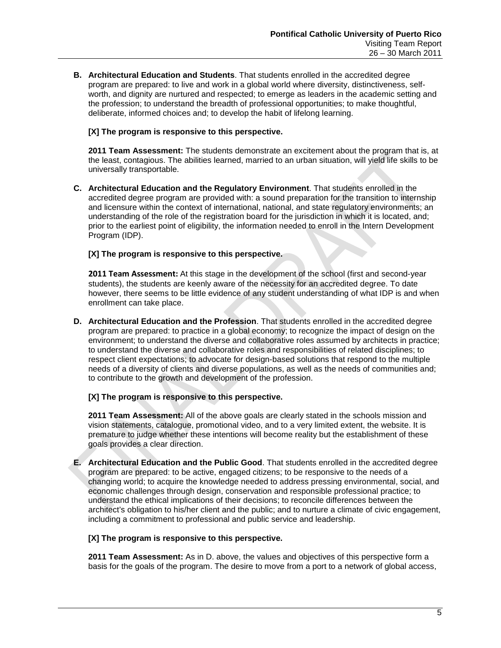**B. Architectural Education and Students**. That students enrolled in the accredited degree program are prepared: to live and work in a global world where diversity, distinctiveness, selfworth, and dignity are nurtured and respected; to emerge as leaders in the academic setting and the profession; to understand the breadth of professional opportunities; to make thoughtful, deliberate, informed choices and; to develop the habit of lifelong learning.

### **[X] The program is responsive to this perspective.**

**2011 Team Assessment:** The students demonstrate an excitement about the program that is, at the least, contagious. The abilities learned, married to an urban situation, will yield life skills to be universally transportable.

**C. Architectural Education and the Regulatory Environment**. That students enrolled in the accredited degree program are provided with: a sound preparation for the transition to internship and licensure within the context of international, national, and state regulatory environments; an understanding of the role of the registration board for the jurisdiction in which it is located, and; prior to the earliest point of eligibility, the information needed to enroll in the Intern Development Program (IDP).

### **[X] The program is responsive to this perspective.**

**2011 Team Assessment:** At this stage in the development of the school (first and second-year students), the students are keenly aware of the necessity for an accredited degree. To date however, there seems to be little evidence of any student understanding of what IDP is and when enrollment can take place.

**D. Architectural Education and the Profession**. That students enrolled in the accredited degree program are prepared: to practice in a global economy; to recognize the impact of design on the environment; to understand the diverse and collaborative roles assumed by architects in practice; to understand the diverse and collaborative roles and responsibilities of related disciplines; to respect client expectations; to advocate for design-based solutions that respond to the multiple needs of a diversity of clients and diverse populations, as well as the needs of communities and; to contribute to the growth and development of the profession.

### **[X] The program is responsive to this perspective.**

**2011 Team Assessment:** All of the above goals are clearly stated in the schools mission and vision statements, catalogue, promotional video, and to a very limited extent, the website. It is premature to judge whether these intentions will become reality but the establishment of these goals provides a clear direction.

**E. Architectural Education and the Public Good**. That students enrolled in the accredited degree program are prepared: to be active, engaged citizens; to be responsive to the needs of a changing world; to acquire the knowledge needed to address pressing environmental, social, and economic challenges through design, conservation and responsible professional practice; to understand the ethical implications of their decisions; to reconcile differences between the architect's obligation to his/her client and the public; and to nurture a climate of civic engagement, including a commitment to professional and public service and leadership.

### **[X] The program is responsive to this perspective.**

**2011 Team Assessment:** As in D. above, the values and objectives of this perspective form a basis for the goals of the program. The desire to move from a port to a network of global access,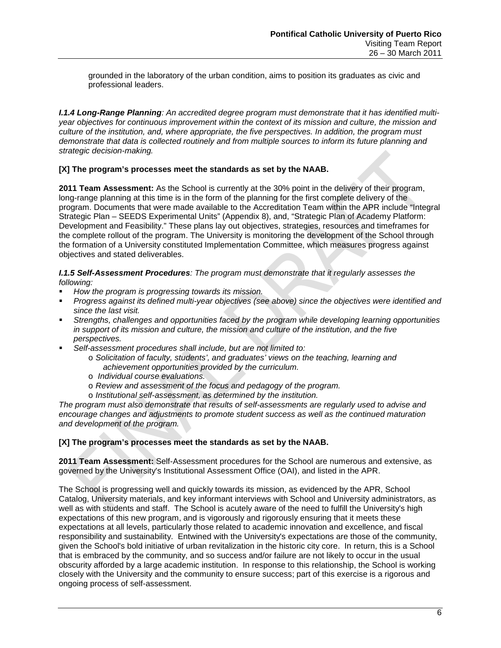grounded in the laboratory of the urban condition, aims to position its graduates as civic and professional leaders.

*I.1.4 Long-Range Planning: An accredited degree program must demonstrate that it has identified multiyear objectives for continuous improvement within the context of its mission and culture, the mission and culture of the institution, and, where appropriate, the five perspectives. In addition, the program must demonstrate that data is collected routinely and from multiple sources to inform its future planning and strategic decision-making.*

### **[X] The program's processes meet the standards as set by the NAAB.**

**2011 Team Assessment:** As the School is currently at the 30% point in the delivery of their program, long-range planning at this time is in the form of the planning for the first complete delivery of the program. Documents that were made available to the Accreditation Team within the APR include "Integral Strategic Plan – SEEDS Experimental Units" (Appendix 8), and, "Strategic Plan of Academy Platform: Development and Feasibility." These plans lay out objectives, strategies, resources and timeframes for the complete rollout of the program. The University is monitoring the development of the School through the formation of a University constituted Implementation Committee, which measures progress against objectives and stated deliverables.

*I.1.5 Self-Assessment Procedures: The program must demonstrate that it regularly assesses the following:*

- *How the program is progressing towards its mission.*
- *Progress against its defined multi-year objectives (see above) since the objectives were identified and since the last visit.*
- *Strengths, challenges and opportunities faced by the program while developing learning opportunities in support of its mission and culture, the mission and culture of the institution, and the five perspectives.*
- *Self-assessment procedures shall include, but are not limited to:*
	- o *Solicitation of faculty, students', and graduates' views on the teaching, learning and achievement opportunities provided by the curriculum.*
	- o *Individual course evaluations.*
	- o *Review and assessment of the focus and pedagogy of the program.*
	- o *Institutional self-assessment, as determined by the institution.*

*The program must also demonstrate that results of self-assessments are regularly used to advise and encourage changes and adjustments to promote student success as well as the continued maturation and development of the program.*

### **[X] The program's processes meet the standards as set by the NAAB.**

**2011 Team Assessment:** Self-Assessment procedures for the School are numerous and extensive, as governed by the University's Institutional Assessment Office (OAI), and listed in the APR.

The School is progressing well and quickly towards its mission, as evidenced by the APR, School Catalog, University materials, and key informant interviews with School and University administrators, as well as with students and staff. The School is acutely aware of the need to fulfill the University's high expectations of this new program, and is vigorously and rigorously ensuring that it meets these expectations at all levels, particularly those related to academic innovation and excellence, and fiscal responsibility and sustainability. Entwined with the University's expectations are those of the community, given the School's bold initiative of urban revitalization in the historic city core. In return, this is a School that is embraced by the community, and so success and/or failure are not likely to occur in the usual obscurity afforded by a large academic institution. In response to this relationship, the School is working closely with the University and the community to ensure success; part of this exercise is a rigorous and ongoing process of self-assessment.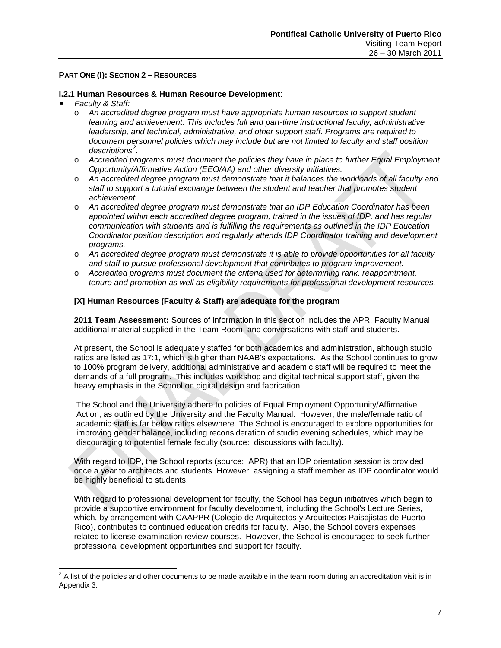### **PART ONE (I): SECTION 2 – RESOURCES**

### **I.2.1 Human Resources & Human Resource Development**:

### *Faculty & Staff:*

- o *An accredited degree program must have appropriate human resources to support student learning and achievement. This includes full and part-time instructional faculty, administrative leadership, and technical, administrative, and other support staff. Programs are required to document personnel policies which may include but are not limited to faculty and staff position descriptions[2](#page-8-0) .*
- o *Accredited programs must document the policies they have in place to further Equal Employment Opportunity/Affirmative Action (EEO/AA) and other diversity initiatives.*
- o *An accredited degree program must demonstrate that it balances the workloads of all faculty and staff to support a tutorial exchange between the student and teacher that promotes student achievement.*
- o *An accredited degree program must demonstrate that an IDP Education Coordinator has been appointed within each accredited degree program, trained in the issues of IDP, and has regular communication with students and is fulfilling the requirements as outlined in the IDP Education Coordinator position description and regularly attends IDP Coordinator training and development programs.*
- o *An accredited degree program must demonstrate it is able to provide opportunities for all faculty and staff to pursue professional development that contributes to program improvement.*
- o *Accredited programs must document the criteria used for determining rank, reappointment, tenure and promotion as well as eligibility requirements for professional development resources.*

### **[X] Human Resources (Faculty & Staff) are adequate for the program**

**2011 Team Assessment:** Sources of information in this section includes the APR, Faculty Manual, additional material supplied in the Team Room, and conversations with staff and students.

At present, the School is adequately staffed for both academics and administration, although studio ratios are listed as 17:1, which is higher than NAAB's expectations. As the School continues to grow to 100% program delivery, additional administrative and academic staff will be required to meet the demands of a full program. This includes workshop and digital technical support staff, given the heavy emphasis in the School on digital design and fabrication.

The School and the University adhere to policies of Equal Employment Opportunity/Affirmative Action, as outlined by the University and the Faculty Manual. However, the male/female ratio of academic staff is far below ratios elsewhere. The School is encouraged to explore opportunities for improving gender balance, including reconsideration of studio evening schedules, which may be discouraging to potential female faculty (source: discussions with faculty).

With regard to IDP, the School reports (source: APR) that an IDP orientation session is provided once a year to architects and students. However, assigning a staff member as IDP coordinator would be highly beneficial to students.

With regard to professional development for faculty, the School has begun initiatives which begin to provide a supportive environment for faculty development, including the School's Lecture Series, which, by arrangement with CAAPPR (Colegio de Arquitectos y Arquitectos Paisajistas de Puerto Rico), contributes to continued education credits for faculty. Also, the School covers expenses related to license examination review courses. However, the School is encouraged to seek further professional development opportunities and support for faculty.

<span id="page-8-0"></span> $2$  A list of the policies and other documents to be made available in the team room during an accreditation visit is in Appendix 3.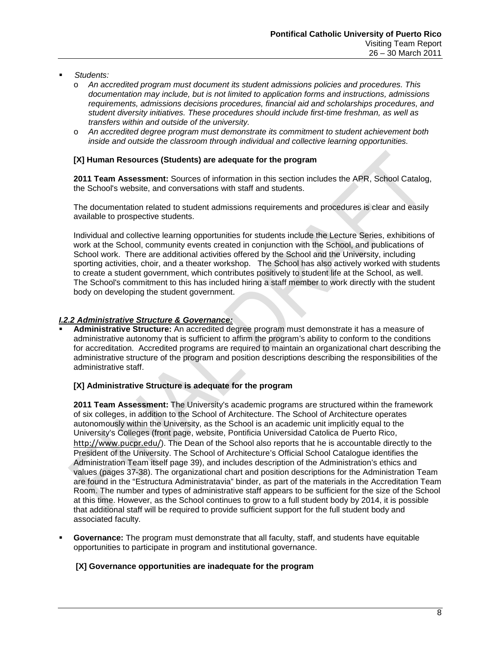- *Students:*
	- o *An accredited program must document its student admissions policies and procedures. This documentation may include, but is not limited to application forms and instructions, admissions requirements, admissions decisions procedures, financial aid and scholarships procedures, and student diversity initiatives. These procedures should include first-time freshman, as well as transfers within and outside of the university.*
	- o *An accredited degree program must demonstrate its commitment to student achievement both inside and outside the classroom through individual and collective learning opportunities.*

### **[X] Human Resources (Students) are adequate for the program**

**2011 Team Assessment:** Sources of information in this section includes the APR, School Catalog, the School's website, and conversations with staff and students.

The documentation related to student admissions requirements and procedures is clear and easily available to prospective students.

Individual and collective learning opportunities for students include the Lecture Series, exhibitions of work at the School, community events created in conjunction with the School, and publications of School work. There are additional activities offered by the School and the University, including sporting activities, choir, and a theater workshop. The School has also actively worked with students to create a student government, which contributes positively to student life at the School, as well. The School's commitment to this has included hiring a staff member to work directly with the student body on developing the student government.

### *I.2.2 Administrative Structure & Governance:*

 **Administrative Structure:** An accredited degree program must demonstrate it has a measure of administrative autonomy that is sufficient to affirm the program's ability to conform to the conditions for accreditation. Accredited programs are required to maintain an organizational chart describing the administrative structure of the program and position descriptions describing the responsibilities of the administrative staff.

### **[X] Administrative Structure is adequate for the program**

**2011 Team Assessment:** The University's academic programs are structured within the framework of six colleges, in addition to the School of Architecture. The School of Architecture operates autonomously within the University, as the School is an academic unit implicitly equal to the University's Colleges (front page, website, Pontificia Universidad Catolica de Puerto Rico, <http://www.pucpr.edu/>). The Dean of the School also reports that he is accountable directly to the President of the University. The School of Architecture's Official School Catalogue identifies the Administration Team itself page 39), and includes description of the Administration's ethics and values (pages 37-38). The organizational chart and position descriptions for the Administration Team are found in the "Estructura Administratavia" binder, as part of the materials in the Accreditation Team Room. The number and types of administrative staff appears to be sufficient for the size of the School at this time. However, as the School continues to grow to a full student body by 2014, it is possible that additional staff will be required to provide sufficient support for the full student body and associated faculty.

 **Governance:** The program must demonstrate that all faculty, staff, and students have equitable opportunities to participate in program and institutional governance.

### **[X] Governance opportunities are inadequate for the program**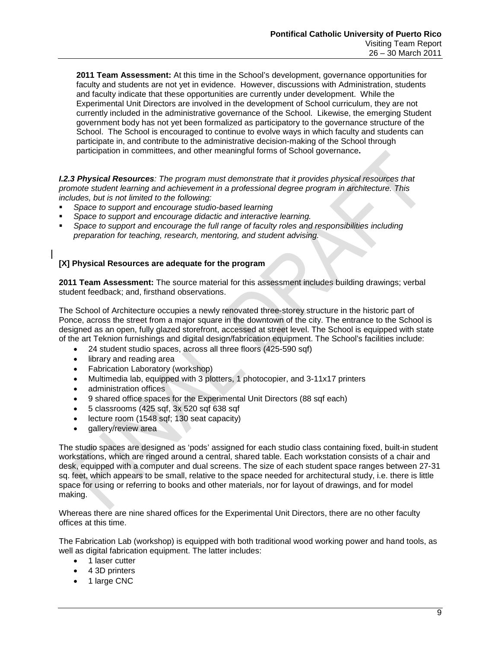**2011 Team Assessment:** At this time in the School's development, governance opportunities for faculty and students are not yet in evidence. However, discussions with Administration, students and faculty indicate that these opportunities are currently under development. While the Experimental Unit Directors are involved in the development of School curriculum, they are not currently included in the administrative governance of the School. Likewise, the emerging Student government body has not yet been formalized as participatory to the governance structure of the School. The School is encouraged to continue to evolve ways in which faculty and students can participate in, and contribute to the administrative decision-making of the School through participation in committees, and other meaningful forms of School governance**.**

*I.2.3 Physical Resources: The program must demonstrate that it provides physical resources that promote student learning and achievement in a professional degree program in architecture. This includes, but is not limited to the following:*

- *Space to support and encourage studio-based learning*
- *Space to support and encourage didactic and interactive learning.*
- *Space to support and encourage the full range of faculty roles and responsibilities including preparation for teaching, research, mentoring, and student advising.*

### **[X] Physical Resources are adequate for the program**

**2011 Team Assessment:** The source material for this assessment includes building drawings; verbal student feedback; and, firsthand observations.

The School of Architecture occupies a newly renovated three-storey structure in the historic part of Ponce, across the street from a major square in the downtown of the city. The entrance to the School is designed as an open, fully glazed storefront, accessed at street level. The School is equipped with state of the art Teknion furnishings and digital design/fabrication equipment. The School's facilities include:

- 24 student studio spaces, across all three floors (425-590 sqf)
- library and reading area
- Fabrication Laboratory (workshop)
- Multimedia lab, equipped with 3 plotters, 1 photocopier, and 3-11x17 printers
- administration offices
- 9 shared office spaces for the Experimental Unit Directors (88 sqf each)
- 5 classrooms (425 sqf, 3x 520 sqf 638 sqf
- lecture room (1548 sqf; 130 seat capacity)
- gallery/review area

The studio spaces are designed as 'pods' assigned for each studio class containing fixed, built-in student workstations, which are ringed around a central, shared table. Each workstation consists of a chair and desk, equipped with a computer and dual screens. The size of each student space ranges between 27-31 sq. feet, which appears to be small, relative to the space needed for architectural study, i.e. there is little space for using or referring to books and other materials, nor for layout of drawings, and for model making.

Whereas there are nine shared offices for the Experimental Unit Directors, there are no other faculty offices at this time.

The Fabrication Lab (workshop) is equipped with both traditional wood working power and hand tools, as well as digital fabrication equipment. The latter includes:

- 1 laser cutter
- 4 3D printers
- 1 large CNC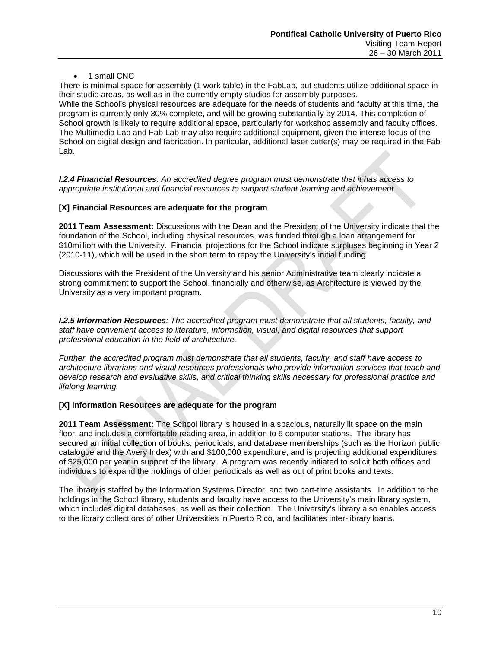### • 1 small CNC

There is minimal space for assembly (1 work table) in the FabLab, but students utilize additional space in their studio areas, as well as in the currently empty studios for assembly purposes. While the School's physical resources are adequate for the needs of students and faculty at this time, the program is currently only 30% complete, and will be growing substantially by 2014. This completion of School growth is likely to require additional space, particularly for workshop assembly and faculty offices. The Multimedia Lab and Fab Lab may also require additional equipment, given the intense focus of the School on digital design and fabrication. In particular, additional laser cutter(s) may be required in the Fab Lab.

*I.2.4 Financial Resources: An accredited degree program must demonstrate that it has access to appropriate institutional and financial resources to support student learning and achievement.* 

### **[X] Financial Resources are adequate for the program**

**2011 Team Assessment:** Discussions with the Dean and the President of the University indicate that the foundation of the School, including physical resources, was funded through a loan arrangement for \$10million with the University. Financial projections for the School indicate surpluses beginning in Year 2 (2010-11), which will be used in the short term to repay the University's initial funding.

Discussions with the President of the University and his senior Administrative team clearly indicate a strong commitment to support the School, financially and otherwise, as Architecture is viewed by the University as a very important program.

*I.2.5 Information Resources: The accredited program must demonstrate that all students, faculty, and staff have convenient access to literature, information, visual, and digital resources that support professional education in the field of architecture.*

*Further, the accredited program must demonstrate that all students, faculty, and staff have access to architecture librarians and visual resources professionals who provide information services that teach and develop research and evaluative skills, and critical thinking skills necessary for professional practice and lifelong learning.*

### **[X] Information Resources are adequate for the program**

**2011 Team Assessment:** The School library is housed in a spacious, naturally lit space on the main floor, and includes a comfortable reading area, in addition to 5 computer stations. The library has secured an initial collection of books, periodicals, and database memberships (such as the Horizon public catalogue and the Avery Index) with and \$100,000 expenditure, and is projecting additional expenditures of \$25,000 per year in support of the library. A program was recently initiated to solicit both offices and individuals to expand the holdings of older periodicals as well as out of print books and texts.

The library is staffed by the Information Systems Director, and two part-time assistants. In addition to the holdings in the School library, students and faculty have access to the University's main library system, which includes digital databases, as well as their collection. The University's library also enables access to the library collections of other Universities in Puerto Rico, and facilitates inter-library loans.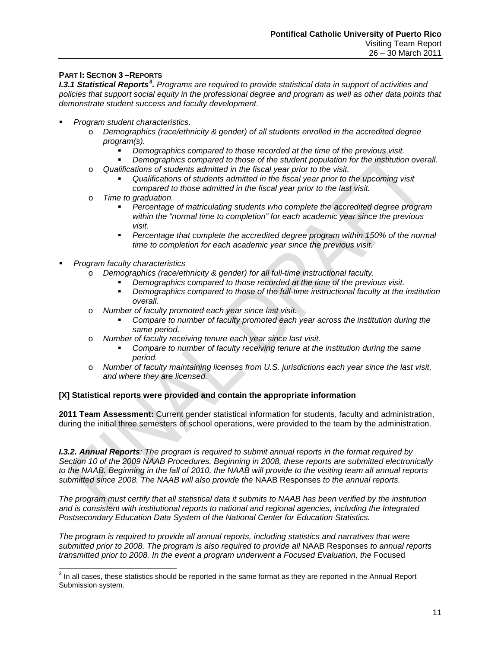### **PART I: SECTION 3 –REPORTS**

**I.[3](#page-12-0).1 Statistical Reports<sup>3</sup>.** Programs are required to provide statistical data in support of activities and policies that support social equity in the professional degree and program as well as other data points that *demonstrate student success and faculty development.*

- *Program student characteristics.* 
	- o *Demographics (race/ethnicity & gender) of all students enrolled in the accredited degree program(s).*
		- *Demographics compared to those recorded at the time of the previous visit.*
		- *Demographics compared to those of the student population for the institution overall.*
	- o *Qualifications of students admitted in the fiscal year prior to the visit.* 
		- *Qualifications of students admitted in the fiscal year prior to the upcoming visit compared to those admitted in the fiscal year prior to the last visit.*
	- o *Time to graduation.*
		- *Percentage of matriculating students who complete the accredited degree program within the "normal time to completion" for each academic year since the previous visit.*
		- *Percentage that complete the accredited degree program within 150% of the normal time to completion for each academic year since the previous visit.*
- *Program faculty characteristics*
	- o *Demographics (race/ethnicity & gender) for all full-time instructional faculty.*
		- *Demographics compared to those recorded at the time of the previous visit.*
		- *Demographics compared to those of the full-time instructional faculty at the institution overall.*
	- o *Number of faculty promoted each year since last visit.*
		- *Compare to number of faculty promoted each year across the institution during the same period.*
	- o *Number of faculty receiving tenure each year since last visit.*
		- *Compare to number of faculty receiving tenure at the institution during the same period.*
	- o *Number of faculty maintaining licenses from U.S. jurisdictions each year since the last visit, and where they are licensed.*

### **[X] Statistical reports were provided and contain the appropriate information**

**2011 Team Assessment:** Current gender statistical information for students, faculty and administration, during the initial three semesters of school operations, were provided to the team by the administration.

*I.3.2. Annual Reports: The program is required to submit annual reports in the format required by Section 10 of the 2009 NAAB Procedures. Beginning in 2008, these reports are submitted electronically to the NAAB. Beginning in the fall of 2010, the NAAB will provide to the visiting team all annual reports submitted since 2008. The NAAB will also provide the* NAAB Responses *to the annual reports.*

*The program must certify that all statistical data it submits to NAAB has been verified by the institution and is consistent with institutional reports to national and regional agencies, including the Integrated Postsecondary Education Data System of the National Center for Education Statistics.* 

*The program is required to provide all annual reports, including statistics and narratives that were submitted prior to 2008. The program is also required to provide all* NAAB Responses *to annual reports transmitted prior to 2008. In the event a program underwent a Focused Evaluation, the Focused* 

<span id="page-12-0"></span> $3$  In all cases, these statistics should be reported in the same format as they are reported in the Annual Report Submission system.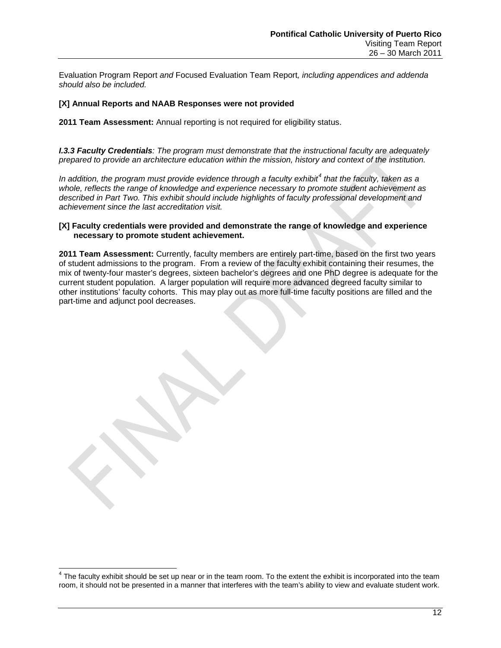Evaluation Program Report *and* Focused Evaluation Team Report*, including appendices and addenda should also be included.*

### **[X] Annual Reports and NAAB Responses were not provided**

**2011 Team Assessment:** Annual reporting is not required for eligibility status.

*I.3.3 Faculty Credentials: The program must demonstrate that the instructional faculty are adequately prepared to provide an architecture education within the mission, history and context of the institution.* 

*In addition, the program must provide evidence through a faculty exhibit[4](#page-13-0) that the faculty, taken as a whole, reflects the range of knowledge and experience necessary to promote student achievement as described in Part Two. This exhibit should include highlights of faculty professional development and achievement since the last accreditation visit.*

### **[X] Faculty credentials were provided and demonstrate the range of knowledge and experience necessary to promote student achievement.**

**2011 Team Assessment:** Currently, faculty members are entirely part-time, based on the first two years of student admissions to the program. From a review of the faculty exhibit containing their resumes, the mix of twenty-four master's degrees, sixteen bachelor's degrees and one PhD degree is adequate for the current student population. A larger population will require more advanced degreed faculty similar to other institutions' faculty cohorts. This may play out as more full-time faculty positions are filled and the part-time and adjunct pool decreases.

<span id="page-13-0"></span> $4$  The faculty exhibit should be set up near or in the team room. To the extent the exhibit is incorporated into the team room, it should not be presented in a manner that interferes with the team's ability to view and evaluate student work.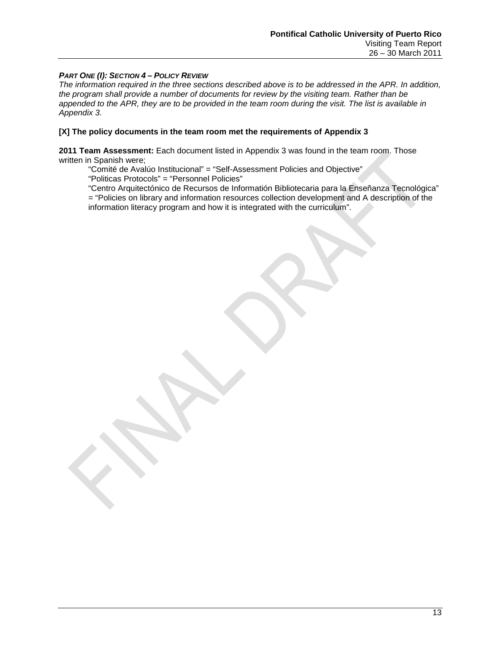### *PART ONE (I): SECTION 4 – POLICY REVIEW*

*The information required in the three sections described above is to be addressed in the APR. In addition, the program shall provide a number of documents for review by the visiting team. Rather than be appended to the APR, they are to be provided in the team room during the visit. The list is available in Appendix 3.*

### **[X] The policy documents in the team room met the requirements of Appendix 3**

**2011 Team Assessment:** Each document listed in Appendix 3 was found in the team room. Those written in Spanish were;

"Comité de Avalúo Institucional" = "Self-Assessment Policies and Objective" "Politicas Protocols" = "Personnel Policies"

"Centro Arquitectónico de Recursos de Informatión Bibliotecaria para la Enseñanza Tecnológica" = "Policies on library and information resources collection development and A description of the information literacy program and how it is integrated with the curriculum".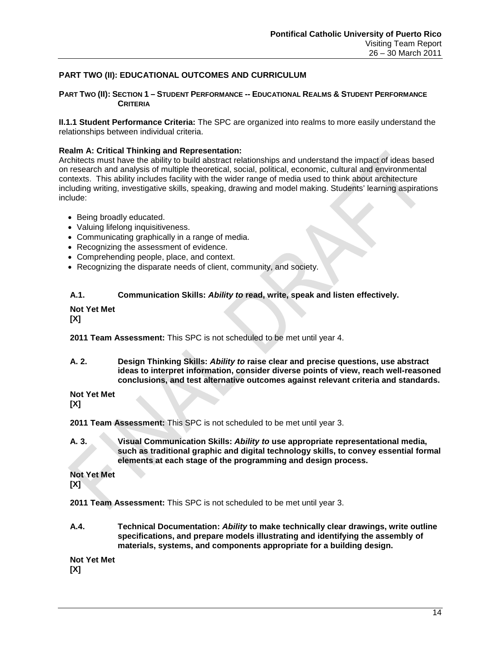### **PART TWO (II): EDUCATIONAL OUTCOMES AND CURRICULUM**

### **PART TWO (II): SECTION 1 – STUDENT PERFORMANCE -- EDUCATIONAL REALMS & STUDENT PERFORMANCE CRITERIA**

**II.1.1 Student Performance Criteria:** The SPC are organized into realms to more easily understand the relationships between individual criteria.

### **Realm A: Critical Thinking and Representation:**

Architects must have the ability to build abstract relationships and understand the impact of ideas based on research and analysis of multiple theoretical, social, political, economic, cultural and environmental contexts. This ability includes facility with the wider range of media used to think about architecture including writing, investigative skills, speaking, drawing and model making. Students' learning aspirations include:

- Being broadly educated.
- Valuing lifelong inquisitiveness.
- Communicating graphically in a range of media.
- Recognizing the assessment of evidence.
- Comprehending people, place, and context.
- Recognizing the disparate needs of client, community, and society.

### **A.1. Communication Skills:** *Ability to* **read, write, speak and listen effectively.**

### **Not Yet Met**

**[X]**

**2011 Team Assessment:** This SPC is not scheduled to be met until year 4.

**A. 2. Design Thinking Skills:** *Ability to* **raise clear and precise questions, use abstract ideas to interpret information, consider diverse points of view, reach well-reasoned conclusions, and test alternative outcomes against relevant criteria and standards.**

**Not Yet Met**

**[X]**

**2011 Team Assessment:** This SPC is not scheduled to be met until year 3.

**A. 3. Visual Communication Skills:** *Ability to* **use appropriate representational media, such as traditional graphic and digital technology skills, to convey essential formal elements at each stage of the programming and design process.**

**Not Yet Met [X]**

**2011 Team Assessment:** This SPC is not scheduled to be met until year 3.

**A.4. Technical Documentation:** *Ability* **to make technically clear drawings, write outline specifications, and prepare models illustrating and identifying the assembly of materials, systems, and components appropriate for a building design.**

**Not Yet Met [X]**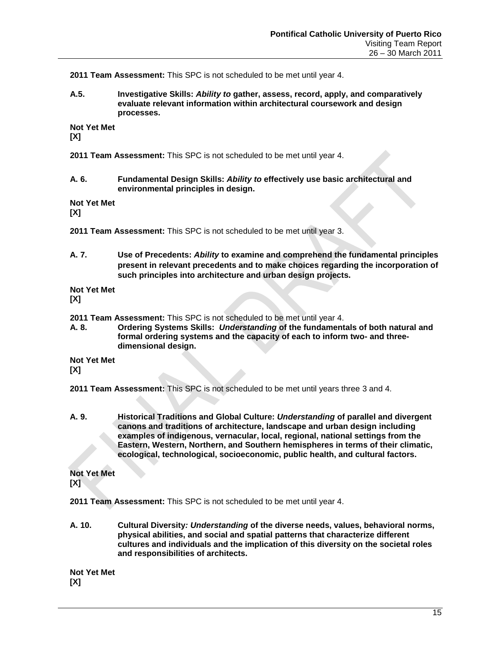**2011 Team Assessment:** This SPC is not scheduled to be met until year 4.

**A.5. Investigative Skills:** *Ability to* **gather, assess, record, apply, and comparatively evaluate relevant information within architectural coursework and design processes.**

**Not Yet Met**

**[X]**

**2011 Team Assessment:** This SPC is not scheduled to be met until year 4.

**A. 6. Fundamental Design Skills:** *Ability to* **effectively use basic architectural and environmental principles in design.**

**Not Yet Met**

**[X]**

**2011 Team Assessment:** This SPC is not scheduled to be met until year 3.

**A. 7. Use of Precedents:** *Ability* **to examine and comprehend the fundamental principles present in relevant precedents and to make choices regarding the incorporation of such principles into architecture and urban design projects.**

**Not Yet Met [X]**

- **2011 Team Assessment:** This SPC is not scheduled to be met until year 4.
- **A. 8. Ordering Systems Skills:** *Understanding* **of the fundamentals of both natural and formal ordering systems and the capacity of each to inform two- and threedimensional design.**

**Not Yet Met [X]**

**2011 Team Assessment:** This SPC is not scheduled to be met until years three 3 and 4.

**A. 9. Historical Traditions and Global Culture:** *Understanding* **of parallel and divergent canons and traditions of architecture, landscape and urban design including examples of indigenous, vernacular, local, regional, national settings from the Eastern, Western, Northern, and Southern hemispheres in terms of their climatic, ecological, technological, socioeconomic, public health, and cultural factors.**

# **Not Yet Met**

**[X]**

**2011 Team Assessment:** This SPC is not scheduled to be met until year 4.

**A. 10. Cultural Diversity***: Understanding* **of the diverse needs, values, behavioral norms, physical abilities, and social and spatial patterns that characterize different cultures and individuals and the implication of this diversity on the societal roles and responsibilities of architects.**

**Not Yet Met [X]**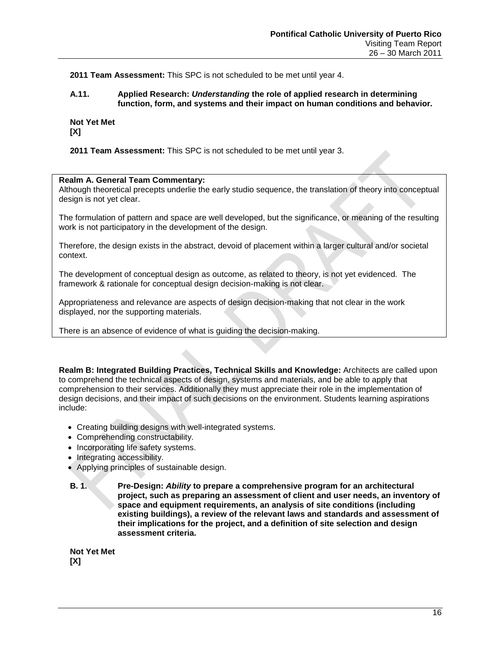**2011 Team Assessment:** This SPC is not scheduled to be met until year 4.

### **A.11. Applied Research:** *Understanding* **the role of applied research in determining function, form, and systems and their impact on human conditions and behavior.**

**Not Yet Met [X]**

**2011 Team Assessment:** This SPC is not scheduled to be met until year 3.

### **Realm A. General Team Commentary:**

Although theoretical precepts underlie the early studio sequence, the translation of theory into conceptual design is not yet clear.

The formulation of pattern and space are well developed, but the significance, or meaning of the resulting work is not participatory in the development of the design.

Therefore, the design exists in the abstract, devoid of placement within a larger cultural and/or societal context.

The development of conceptual design as outcome, as related to theory, is not yet evidenced. The framework & rationale for conceptual design decision-making is not clear.

Appropriateness and relevance are aspects of design decision-making that not clear in the work displayed, nor the supporting materials.

There is an absence of evidence of what is guiding the decision-making.

**Realm B: Integrated Building Practices, Technical Skills and Knowledge:** Architects are called upon to comprehend the technical aspects of design, systems and materials, and be able to apply that comprehension to their services. Additionally they must appreciate their role in the implementation of design decisions, and their impact of such decisions on the environment. Students learning aspirations include:

- Creating building designs with well-integrated systems.
- Comprehending constructability.
- Incorporating life safety systems.
- Integrating accessibility.
- Applying principles of sustainable design.
- **B. 1. Pre-Design:** *Ability* **to prepare a comprehensive program for an architectural project, such as preparing an assessment of client and user needs, an inventory of space and equipment requirements, an analysis of site conditions (including existing buildings), a review of the relevant laws and standards and assessment of their implications for the project, and a definition of site selection and design assessment criteria.**

**Not Yet Met [X]**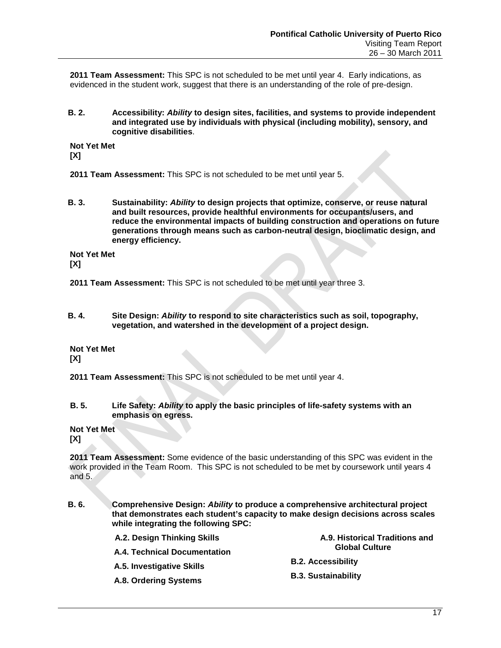**2011 Team Assessment:** This SPC is not scheduled to be met until year 4. Early indications, as evidenced in the student work, suggest that there is an understanding of the role of pre-design.

**B. 2. Accessibility:** *Ability* **to design sites, facilities, and systems to provide independent and integrated use by individuals with physical (including mobility), sensory, and cognitive disabilities**.

**Not Yet Met [X]**

- **2011 Team Assessment:** This SPC is not scheduled to be met until year 5.
- **B. 3. Sustainability:** *Ability* **to design projects that optimize, conserve, or reuse natural and built resources, provide healthful environments for occupants/users, and reduce the environmental impacts of building construction and operations on future generations through means such as carbon-neutral design, bioclimatic design, and energy efficiency.**

**Not Yet Met**

**[X]**

- **2011 Team Assessment:** This SPC is not scheduled to be met until year three 3.
- **B. 4. Site Design:** *Ability* **to respond to site characteristics such as soil, topography, vegetation, and watershed in the development of a project design.**

**Not Yet Met [X]**

- **2011 Team Assessment:** This SPC is not scheduled to be met until year 4.
- **B. 5. Life Safety:** *Ability* **to apply the basic principles of life-safety systems with an emphasis on egress.**
- **Not Yet Met [X]**

**2011 Team Assessment:** Some evidence of the basic understanding of this SPC was evident in the work provided in the Team Room. This SPC is not scheduled to be met by coursework until years 4 and 5.

**B. 6. Comprehensive Design:** *Ability* **to produce a comprehensive architectural project that demonstrates each student's capacity to make design decisions across scales while integrating the following SPC:**

| A.2. Design Thinking Skills         | A.9. Historical Traditions and<br><b>Global Culture</b><br><b>B.2. Accessibility</b> |
|-------------------------------------|--------------------------------------------------------------------------------------|
| <b>A.4. Technical Documentation</b> |                                                                                      |
| A.5. Investigative Skills           |                                                                                      |
| A.8. Ordering Systems               | <b>B.3. Sustainability</b>                                                           |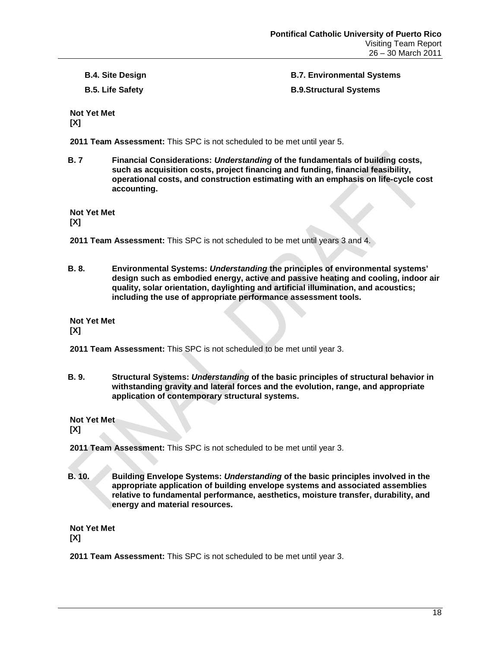**B.4. Site Design**

**B.5. Life Safety**

**B.7. Environmental Systems B.9.Structural Systems** 

**Not Yet Met [X]**

**2011 Team Assessment:** This SPC is not scheduled to be met until year 5.

**B. 7 Financial Considerations:** *Understanding* **of the fundamentals of building costs, such as acquisition costs, project financing and funding, financial feasibility, operational costs, and construction estimating with an emphasis on life-cycle cost accounting.**

**Not Yet Met**

**[X]**

- **2011 Team Assessment:** This SPC is not scheduled to be met until years 3 and 4.
- **B. 8. Environmental Systems:** *Understanding* **the principles of environmental systems' design such as embodied energy, active and passive heating and cooling, indoor air quality, solar orientation, daylighting and artificial illumination, and acoustics; including the use of appropriate performance assessment tools.**

**Not Yet Met**

**[X]**

- **2011 Team Assessment:** This SPC is not scheduled to be met until year 3.
- **B. 9. Structural Systems:** *Understanding* **of the basic principles of structural behavior in withstanding gravity and lateral forces and the evolution, range, and appropriate application of contemporary structural systems.**

**Not Yet Met**

**[X]**

**2011 Team Assessment:** This SPC is not scheduled to be met until year 3.

**B. 10. Building Envelope Systems:** *Understanding* **of the basic principles involved in the appropriate application of building envelope systems and associated assemblies relative to fundamental performance, aesthetics, moisture transfer, durability, and energy and material resources.**

**Not Yet Met [X]**

**2011 Team Assessment:** This SPC is not scheduled to be met until year 3.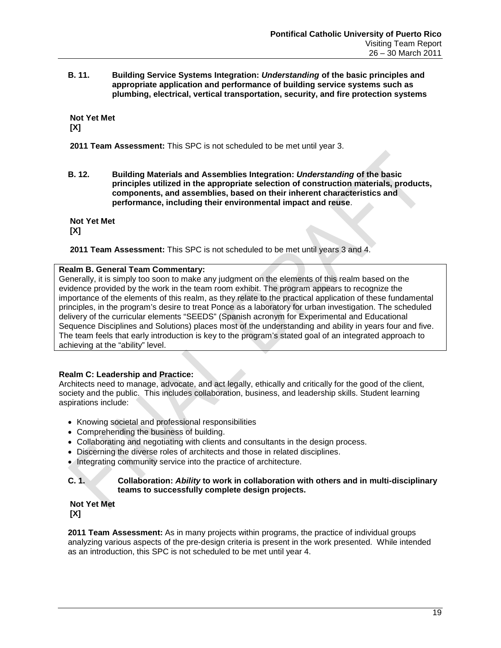**B. 11. Building Service Systems Integration:** *Understanding* **of the basic principles and appropriate application and performance of building service systems such as plumbing, electrical, vertical transportation, security, and fire protection systems**

**Not Yet Met [X]**

**2011 Team Assessment:** This SPC is not scheduled to be met until year 3.

**B. 12. Building Materials and Assemblies Integration:** *Understanding* **of the basic principles utilized in the appropriate selection of construction materials, products, components, and assemblies, based on their inherent characteristics and performance, including their environmental impact and reuse**.

**Not Yet Met [X]**

**2011 Team Assessment:** This SPC is not scheduled to be met until years 3 and 4.

## **Realm B. General Team Commentary:**

Generally, it is simply too soon to make any judgment on the elements of this realm based on the evidence provided by the work in the team room exhibit. The program appears to recognize the importance of the elements of this realm, as they relate to the practical application of these fundamental principles, in the program's desire to treat Ponce as a laboratory for urban investigation. The scheduled delivery of the curricular elements "SEEDS" (Spanish acronym for Experimental and Educational Sequence Disciplines and Solutions) places most of the understanding and ability in years four and five. The team feels that early introduction is key to the program's stated goal of an integrated approach to achieving at the "ability" level.

## **Realm C: Leadership and Practice:**

Architects need to manage, advocate, and act legally, ethically and critically for the good of the client, society and the public. This includes collaboration, business, and leadership skills. Student learning aspirations include:

- Knowing societal and professional responsibilities
- Comprehending the business of building.
- Collaborating and negotiating with clients and consultants in the design process.
- Discerning the diverse roles of architects and those in related disciplines.
- Integrating community service into the practice of architecture.

### **C. 1. Collaboration:** *Ability* **to work in collaboration with others and in multi-disciplinary teams to successfully complete design projects.**

**Not Yet Met [X]**

**2011 Team Assessment:** As in many projects within programs, the practice of individual groups analyzing various aspects of the pre-design criteria is present in the work presented. While intended as an introduction, this SPC is not scheduled to be met until year 4.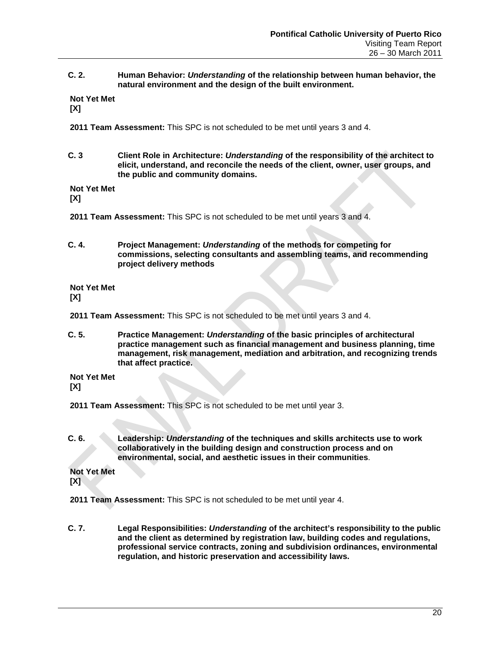### **C. 2. Human Behavior:** *Understanding* **of the relationship between human behavior, the natural environment and the design of the built environment.**

**Not Yet Met**

**[X]**

**2011 Team Assessment:** This SPC is not scheduled to be met until years 3 and 4.

**C. 3 Client Role in Architecture:** *Understanding* **of the responsibility of the architect to elicit, understand, and reconcile the needs of the client, owner, user groups, and the public and community domains.**

**Not Yet Met**

**[X]**

**2011 Team Assessment:** This SPC is not scheduled to be met until years 3 and 4.

**C. 4. Project Management:** *Understanding* **of the methods for competing for commissions, selecting consultants and assembling teams, and recommending project delivery methods**

**Not Yet Met [X]**

**2011 Team Assessment:** This SPC is not scheduled to be met until years 3 and 4.

**C. 5. Practice Management:** *Understanding* **of the basic principles of architectural practice management such as financial management and business planning, time management, risk management, mediation and arbitration, and recognizing trends that affect practice.**

**Not Yet Met**

**[X]**

**2011 Team Assessment:** This SPC is not scheduled to be met until year 3.

**C. 6. Leadership:** *Understanding* **of the techniques and skills architects use to work collaboratively in the building design and construction process and on environmental, social, and aesthetic issues in their communities**.

**Not Yet Met [X]**

**2011 Team Assessment:** This SPC is not scheduled to be met until year 4.

**C. 7. Legal Responsibilities:** *Understanding* **of the architect's responsibility to the public and the client as determined by registration law, building codes and regulations, professional service contracts, zoning and subdivision ordinances, environmental regulation, and historic preservation and accessibility laws.**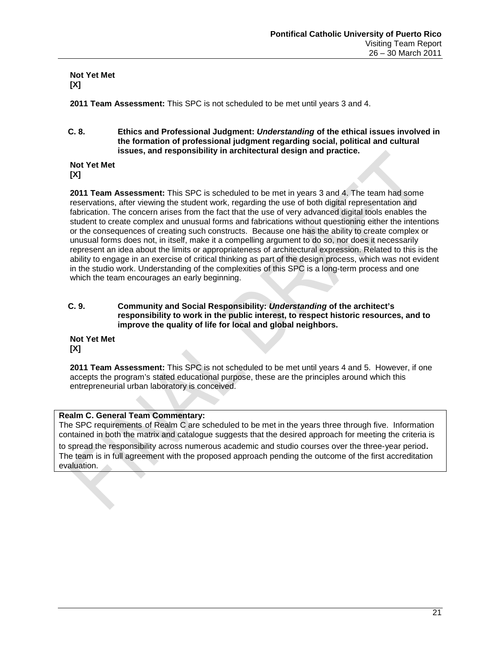**Not Yet Met [X]**

**2011 Team Assessment:** This SPC is not scheduled to be met until years 3 and 4.

**C. 8. Ethics and Professional Judgment:** *Understanding* **of the ethical issues involved in the formation of professional judgment regarding social, political and cultural issues, and responsibility in architectural design and practice.**

**Not Yet Met [X]**

**2011 Team Assessment:** This SPC is scheduled to be met in years 3 and 4. The team had some reservations, after viewing the student work, regarding the use of both digital representation and fabrication. The concern arises from the fact that the use of very advanced digital tools enables the student to create complex and unusual forms and fabrications without questioning either the intentions or the consequences of creating such constructs. Because one has the ability to create complex or unusual forms does not, in itself, make it a compelling argument to do so, nor does it necessarily represent an idea about the limits or appropriateness of architectural expression. Related to this is the ability to engage in an exercise of critical thinking as part of the design process, which was not evident in the studio work. Understanding of the complexities of this SPC is a long-term process and one which the team encourages an early beginning.

**C. 9. Community and Social Responsibility:** *Understanding* **of the architect's responsibility to work in the public interest, to respect historic resources, and to improve the quality of life for local and global neighbors.**

**Not Yet Met [X]**

**2011 Team Assessment:** This SPC is not scheduled to be met until years 4 and 5. However, if one accepts the program's stated educational purpose, these are the principles around which this entrepreneurial urban laboratory is conceived.

### **Realm C. General Team Commentary:**

The SPC requirements of Realm C are scheduled to be met in the years three through five. Information contained in both the matrix and catalogue suggests that the desired approach for meeting the criteria is to spread the responsibility across numerous academic and studio courses over the three-year period.<br>The team is in full agreement with the proposed approach pending the outcome of the first accreditation evaluation.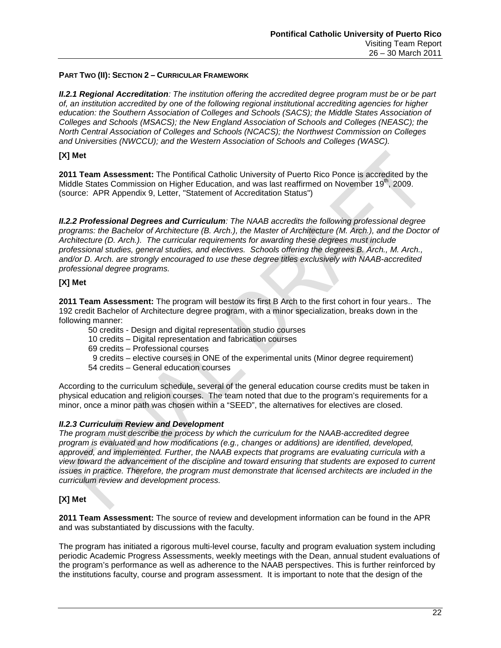### **PART TWO (II): SECTION 2 – CURRICULAR FRAMEWORK**

*II.2.1 Regional Accreditation: The institution offering the accredited degree program must be or be part of, an institution accredited by one of the following regional institutional accrediting agencies for higher*  education: the Southern Association of Colleges and Schools (SACS); the Middle States Association of *Colleges and Schools (MSACS); the New England Association of Schools and Colleges (NEASC); the North Central Association of Colleges and Schools (NCACS); the Northwest Commission on Colleges and Universities (NWCCU); and the Western Association of Schools and Colleges (WASC).*

### **[X] Met**

**2011 Team Assessment:** The Pontifical Catholic University of Puerto Rico Ponce is accredited by the Middle States Commission on Higher Education, and was last reaffirmed on November 19<sup>th</sup>, 2009. (source: APR Appendix 9, Letter, "Statement of Accreditation Status")

*II.2.2 Professional Degrees and Curriculum: The NAAB accredits the following professional degree programs: the Bachelor of Architecture (B. Arch.), the Master of Architecture (M. Arch.), and the Doctor of Architecture (D. Arch.). The curricular requirements for awarding these degrees must include professional studies, general studies, and electives. Schools offering the degrees B. Arch., M. Arch., and/or D. Arch. are strongly encouraged to use these degree titles exclusively with NAAB-accredited professional degree programs.*

### **[X] Met**

**2011 Team Assessment:** The program will bestow its first B Arch to the first cohort in four years.. The 192 credit Bachelor of Architecture degree program, with a minor specialization, breaks down in the following manner:

50 credits - Design and digital representation studio courses

10 credits – Digital representation and fabrication courses

- 69 credits Professional courses
- 9 credits elective courses in ONE of the experimental units (Minor degree requirement)
- 54 credits General education courses

According to the curriculum schedule, several of the general education course credits must be taken in physical education and religion courses. The team noted that due to the program's requirements for a minor, once a minor path was chosen within a "SEED", the alternatives for electives are closed.

### *II.2.3 Curriculum Review and Development*

*The program must describe the process by which the curriculum for the NAAB-accredited degree program is evaluated and how modifications (e.g., changes or additions) are identified, developed, approved, and implemented. Further, the NAAB expects that programs are evaluating curricula with a view toward the advancement of the discipline and toward ensuring that students are exposed to current issues in practice. Therefore, the program must demonstrate that licensed architects are included in the curriculum review and development process.* 

### **[X] Met**

**2011 Team Assessment:** The source of review and development information can be found in the APR and was substantiated by discussions with the faculty.

The program has initiated a rigorous multi-level course, faculty and program evaluation system including periodic Academic Progress Assessments, weekly meetings with the Dean, annual student evaluations of the program's performance as well as adherence to the NAAB perspectives. This is further reinforced by the institutions faculty, course and program assessment. It is important to note that the design of the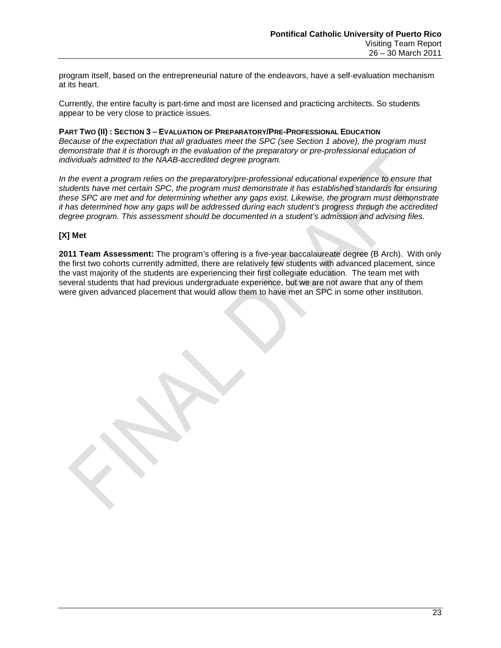program itself, based on the entrepreneurial nature of the endeavors, have a self-evaluation mechanism at its heart.

Currently, the entire faculty is part-time and most are licensed and practicing architects. So students appear to be very close to practice issues.

**PART TWO (II) : SECTION 3 – EVALUATION OF PREPARATORY/PRE-PROFESSIONAL EDUCATION** *Because of the expectation that all graduates meet the SPC (see Section 1 above), the program must demonstrate that it is thorough in the evaluation of the preparatory or pre-professional education of individuals admitted to the NAAB-accredited degree program.* 

*In the event a program relies on the preparatory/pre-professional educational experience to ensure that students have met certain SPC, the program must demonstrate it has established standards for ensuring these SPC are met and for determining whether any gaps exist. Likewise, the program must demonstrate it has determined how any gaps will be addressed during each student's progress through the accredited degree program. This assessment should be documented in a student's admission and advising files.*

### **[X] Met**

**2011 Team Assessment:** The program's offering is a five-year baccalaureate degree (B Arch). With only the first two cohorts currently admitted, there are relatively few students with advanced placement, since the vast majority of the students are experiencing their first collegiate education. The team met with several students that had previous undergraduate experience, but we are not aware that any of them were given advanced placement that would allow them to have met an SPC in some other institution.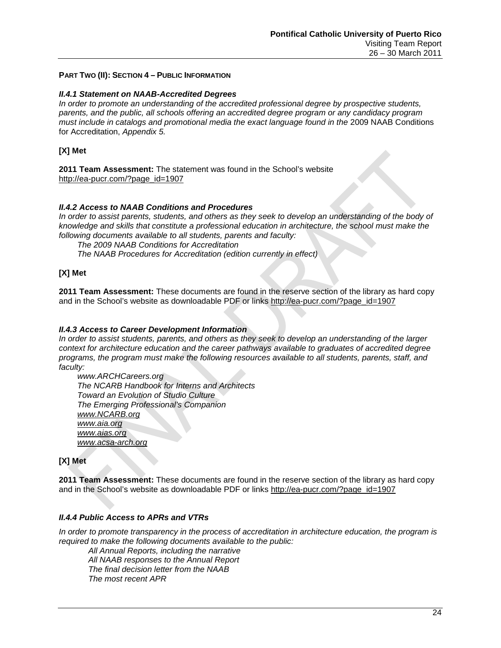### **PART TWO (II): SECTION 4 – PUBLIC INFORMATION**

### *II.4.1 Statement on NAAB-Accredited Degrees*

*In order to promote an understanding of the accredited professional degree by prospective students, parents, and the public, all schools offering an accredited degree program or any candidacy program must include in catalogs and promotional media the exact language found in the 2009 NAAB Conditions* for Accreditation, *Appendix 5.* 

### **[X] Met**

**2011 Team Assessment:** The statement was found in the School's website [http://ea-pucr.com/?page\\_id=1907](http://ea-pucr.com/?page_id=1907)

### *II.4.2 Access to NAAB Conditions and Procedures*

In order to assist parents, students, and others as they seek to develop an understanding of the body of *knowledge and skills that constitute a professional education in architecture, the school must make the following documents available to all students, parents and faculty:* 

*The 2009 NAAB Conditions for Accreditation*

*The NAAB Procedures for Accreditation (edition currently in effect)*

### **[X] Met**

**2011 Team Assessment:** These documents are found in the reserve section of the library as hard copy and in the School's website as downloadable PDF or links [http://ea-pucr.com/?page\\_id=1907](http://ea-pucr.com/?page_id=1907)

### *II.4.3 Access to Career Development Information*

*In order to assist students, parents, and others as they seek to develop an understanding of the larger context for architecture education and the career pathways available to graduates of accredited degree programs, the program must make the following resources available to all students, parents, staff, and faculty:*

*www.ARCHCareers.org The NCARB Handbook for Interns and Architects Toward an Evolution of Studio Culture The Emerging Professional's Companion [www.NCARB.org](http://www.ncarb.org/) [www.aia.org](http://www.aia.org/) [www.aias.org](http://www.aias.org/) [www.acsa-arch.org](http://www.acsa-arch.org/)*

### **[X] Met**

**2011 Team Assessment:** These documents are found in the reserve section of the library as hard copy and in the School's website as downloadable PDF or links [http://ea-pucr.com/?page\\_id=1907](http://ea-pucr.com/?page_id=1907)

### *II.4.4 Public Access to APRs and VTRs*

*In order to promote transparency in the process of accreditation in architecture education, the program is required to make the following documents available to the public:*

*All Annual Reports, including the narrative All NAAB responses to the Annual Report The final decision letter from the NAAB The most recent APR*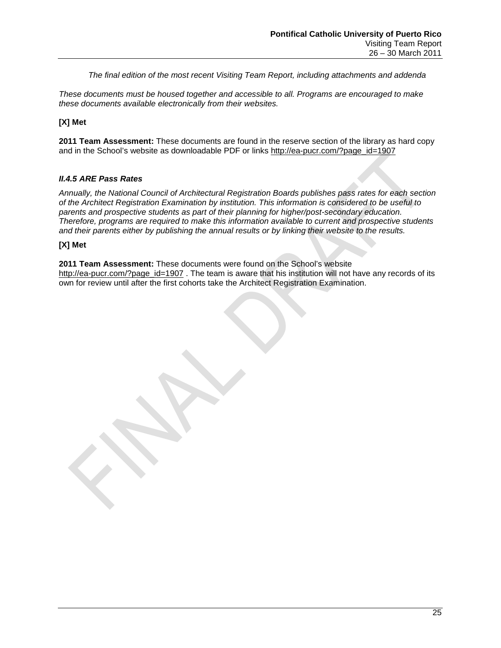*The final edition of the most recent Visiting Team Report, including attachments and addenda*

*These documents must be housed together and accessible to all. Programs are encouraged to make these documents available electronically from their websites.*

### **[X] Met**

**2011 Team Assessment:** These documents are found in the reserve section of the library as hard copy and in the School's website as downloadable PDF or links [http://ea-pucr.com/?page\\_id=1907](http://ea-pucr.com/?page_id=1907)

### *II.4.5 ARE Pass Rates*

*Annually, the National Council of Architectural Registration Boards publishes pass rates for each section of the Architect Registration Examination by institution. This information is considered to be useful to parents and prospective students as part of their planning for higher/post-secondary education. Therefore, programs are required to make this information available to current and prospective students and their parents either by publishing the annual results or by linking their website to the results.*

### **[X] Met**

**2011 Team Assessment:** These documents were found on the School's website [http://ea-pucr.com/?page\\_id=1907](http://ea-pucr.com/?page_id=1907). The team is aware that his institution will not have any records of its own for review until after the first cohorts take the Architect Registration Examination.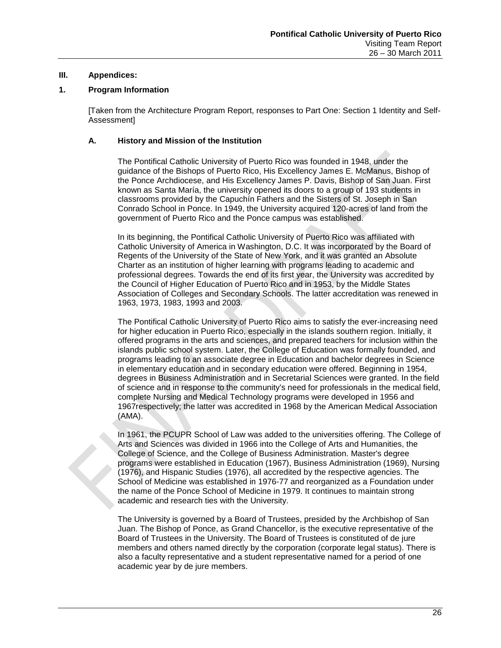### **III. Appendices:**

### **1. Program Information**

[Taken from the Architecture Program Report, responses to Part One: Section 1 Identity and Self-Assessment]

### **A. History and Mission of the Institution**

The Pontifical Catholic University of Puerto Rico was founded in 1948, under the guidance of the Bishops of Puerto Rico, His Excellency James E. McManus, Bishop of the Ponce Archdiocese, and His Excellency James P. Davis, Bishop of San Juan. First known as Santa María, the university opened its doors to a group of 193 students in classrooms provided by the Capuchín Fathers and the Sisters of St. Joseph in San Conrado School in Ponce. In 1949, the University acquired 120-acres of land from the government of Puerto Rico and the Ponce campus was established.

In its beginning, the Pontifical Catholic University of Puerto Rico was affiliated with Catholic University of America in Washington, D.C. It was incorporated by the Board of Regents of the University of the State of New York, and it was granted an Absolute Charter as an institution of higher learning with programs leading to academic and professional degrees. Towards the end of its first year, the University was accredited by the Council of Higher Education of Puerto Rico and in 1953, by the Middle States Association of Colleges and Secondary Schools. The latter accreditation was renewed in 1963, 1973, 1983, 1993 and 2003.

The Pontifical Catholic University of Puerto Rico aims to satisfy the ever-increasing need for higher education in Puerto Rico, especially in the islands southern region. Initially, it offered programs in the arts and sciences, and prepared teachers for inclusion within the islands public school system. Later, the College of Education was formally founded, and programs leading to an associate degree in Education and bachelor degrees in Science in elementary education and in secondary education were offered. Beginning in 1954, degrees in Business Administration and in Secretarial Sciences were granted. In the field of science and in response to the community's need for professionals in the medical field, complete Nursing and Medical Technology programs were developed in 1956 and 1967respectively; the latter was accredited in 1968 by the American Medical Association (AMA).

In 1961, the PCUPR School of Law was added to the universities offering. The College of Arts and Sciences was divided in 1966 into the College of Arts and Humanities, the College of Science, and the College of Business Administration. Master's degree programs were established in Education (1967), Business Administration (1969), Nursing (1976), and Hispanic Studies (1976), all accredited by the respective agencies. The School of Medicine was established in 1976-77 and reorganized as a Foundation under the name of the Ponce School of Medicine in 1979. It continues to maintain strong academic and research ties with the University.

The University is governed by a Board of Trustees, presided by the Archbishop of San Juan. The Bishop of Ponce, as Grand Chancellor, is the executive representative of the Board of Trustees in the University. The Board of Trustees is constituted of de jure members and others named directly by the corporation (corporate legal status). There is also a faculty representative and a student representative named for a period of one academic year by de jure members.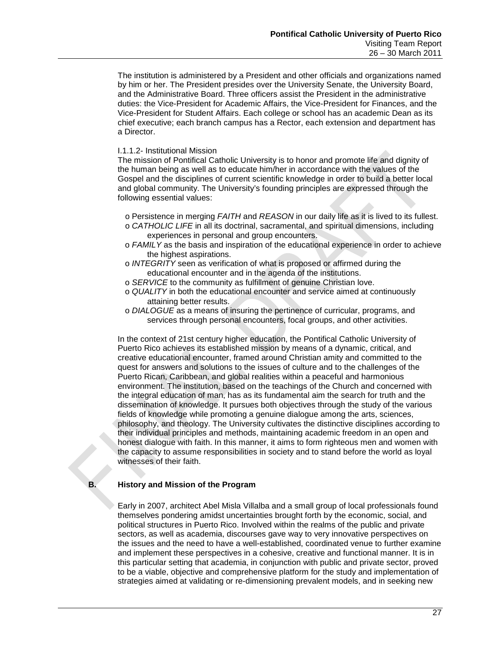The institution is administered by a President and other officials and organizations named by him or her. The President presides over the University Senate, the University Board, and the Administrative Board. Three officers assist the President in the administrative duties: the Vice-President for Academic Affairs, the Vice-President for Finances, and the Vice-President for Student Affairs. Each college or school has an academic Dean as its chief executive; each branch campus has a Rector, each extension and department has a Director.

### I.1.1.2- Institutional Mission

The mission of Pontifical Catholic University is to honor and promote life and dignity of the human being as well as to educate him/her in accordance with the values of the Gospel and the disciplines of current scientific knowledge in order to build a better local and global community. The University's founding principles are expressed through the following essential values:

- o Persistence in merging *FAITH* and *REASON* in our daily life as it is lived to its fullest.
- o *CATHOLIC LIFE* in all its doctrinal, sacramental, and spiritual dimensions, including experiences in personal and group encounters.
- o *FAMILY* as the basis and inspiration of the educational experience in order to achieve the highest aspirations.
- o *INTEGRITY* seen as verification of what is proposed or affirmed during the educational encounter and in the agenda of the institutions.
- o *SERVICE* to the community as fulfillment of genuine Christian love.
- o *QUALITY* in both the educational encounter and service aimed at continuously attaining better results.
- o *DIALOGUE* as a means of insuring the pertinence of curricular, programs, and services through personal encounters, focal groups, and other activities.

In the context of 21st century higher education, the Pontifical Catholic University of Puerto Rico achieves its established mission by means of a dynamic, critical, and creative educational encounter, framed around Christian amity and committed to the quest for answers and solutions to the issues of culture and to the challenges of the Puerto Rican, Caribbean, and global realities within a peaceful and harmonious environment. The institution, based on the teachings of the Church and concerned with the integral education of man, has as its fundamental aim the search for truth and the dissemination of knowledge. It pursues both objectives through the study of the various fields of knowledge while promoting a genuine dialogue among the arts, sciences, philosophy, and theology. The University cultivates the distinctive disciplines according to their individual principles and methods, maintaining academic freedom in an open and honest dialogue with faith. In this manner, it aims to form righteous men and women with the capacity to assume responsibilities in society and to stand before the world as loyal witnesses of their faith.

### **B. History and Mission of the Program**

Early in 2007, architect Abel Misla Villalba and a small group of local professionals found themselves pondering amidst uncertainties brought forth by the economic, social, and political structures in Puerto Rico. Involved within the realms of the public and private sectors, as well as academia, discourses gave way to very innovative perspectives on the issues and the need to have a well-established, coordinated venue to further examine and implement these perspectives in a cohesive, creative and functional manner. It is in this particular setting that academia, in conjunction with public and private sector, proved to be a viable, objective and comprehensive platform for the study and implementation of strategies aimed at validating or re-dimensioning prevalent models, and in seeking new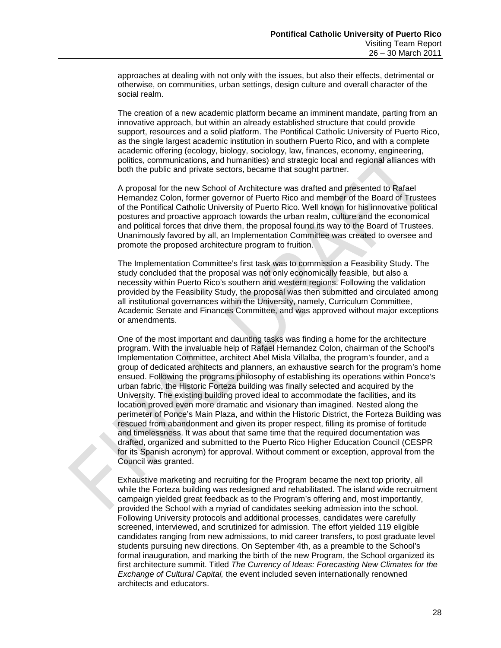approaches at dealing with not only with the issues, but also their effects, detrimental or otherwise, on communities, urban settings, design culture and overall character of the social realm.

The creation of a new academic platform became an imminent mandate, parting from an innovative approach, but within an already established structure that could provide support, resources and a solid platform. The Pontifical Catholic University of Puerto Rico, as the single largest academic institution in southern Puerto Rico, and with a complete academic offering (ecology, biology, sociology, law, finances, economy, engineering, politics, communications, and humanities) and strategic local and regional alliances with both the public and private sectors, became that sought partner.

A proposal for the new School of Architecture was drafted and presented to Rafael Hernandez Colon, former governor of Puerto Rico and member of the Board of Trustees of the Pontifical Catholic University of Puerto Rico. Well known for his innovative political postures and proactive approach towards the urban realm, culture and the economical and political forces that drive them, the proposal found its way to the Board of Trustees. Unanimously favored by all, an Implementation Committee was created to oversee and promote the proposed architecture program to fruition.

The Implementation Committee's first task was to commission a Feasibility Study. The study concluded that the proposal was not only economically feasible, but also a necessity within Puerto Rico's southern and western regions. Following the validation provided by the Feasibility Study, the proposal was then submitted and circulated among all institutional governances within the University, namely, Curriculum Committee, Academic Senate and Finances Committee, and was approved without major exceptions or amendments.

One of the most important and daunting tasks was finding a home for the architecture program. With the invaluable help of Rafael Hernandez Colon, chairman of the School's Implementation Committee, architect Abel Misla Villalba, the program's founder, and a group of dedicated architects and planners, an exhaustive search for the program's home ensued. Following the programs philosophy of establishing its operations within Ponce's urban fabric, the Historic Forteza building was finally selected and acquired by the University. The existing building proved ideal to accommodate the facilities, and its location proved even more dramatic and visionary than imagined. Nested along the perimeter of Ponce's Main Plaza, and within the Historic District, the Forteza Building was rescued from abandonment and given its proper respect, filling its promise of fortitude and timelessness. It was about that same time that the required documentation was drafted, organized and submitted to the Puerto Rico Higher Education Council (CESPR for its Spanish acronym) for approval. Without comment or exception, approval from the Council was granted.

Exhaustive marketing and recruiting for the Program became the next top priority, all while the Forteza building was redesigned and rehabilitated. The island wide recruitment campaign yielded great feedback as to the Program's offering and, most importantly, provided the School with a myriad of candidates seeking admission into the school. Following University protocols and additional processes, candidates were carefully screened, interviewed, and scrutinized for admission. The effort yielded 119 eligible candidates ranging from new admissions, to mid career transfers, to post graduate level students pursuing new directions. On September 4th, as a preamble to the School's formal inauguration, and marking the birth of the new Program, the School organized its first architecture summit. Titled *The Currency of Ideas: Forecasting New Climates for the Exchange of Cultural Capital,* the event included seven internationally renowned architects and educators.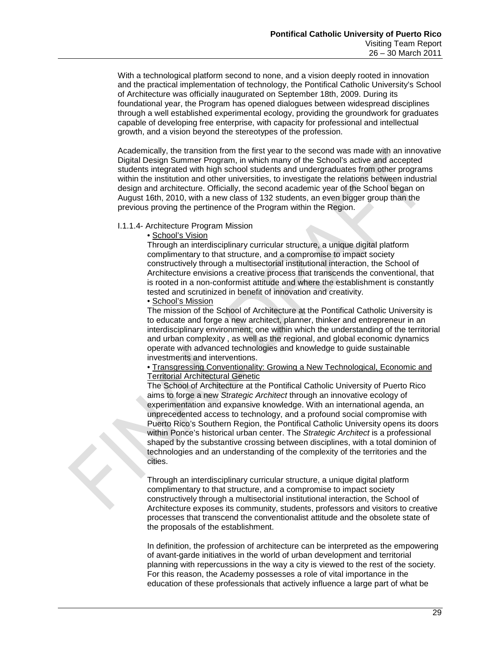With a technological platform second to none, and a vision deeply rooted in innovation and the practical implementation of technology, the Pontifical Catholic University's School of Architecture was officially inaugurated on September 18th, 2009. During its foundational year, the Program has opened dialogues between widespread disciplines through a well established experimental ecology, providing the groundwork for graduates capable of developing free enterprise, with capacity for professional and intellectual growth, and a vision beyond the stereotypes of the profession.

Academically, the transition from the first year to the second was made with an innovative Digital Design Summer Program, in which many of the School's active and accepted students integrated with high school students and undergraduates from other programs within the institution and other universities, to investigate the relations between industrial design and architecture. Officially, the second academic year of the School began on August 16th, 2010, with a new class of 132 students, an even bigger group than the previous proving the pertinence of the Program within the Region.

### I.1.1.4- Architecture Program Mission

• School's Vision

Through an interdisciplinary curricular structure, a unique digital platform complimentary to that structure, and a compromise to impact society constructively through a multisectorial institutional interaction, the School of Architecture envisions a creative process that transcends the conventional, that is rooted in a non-conformist attitude and where the establishment is constantly tested and scrutinized in benefit of innovation and creativity.

### • School's Mission

The mission of the School of Architecture at the Pontifical Catholic University is to educate and forge a new architect, planner, thinker and entrepreneur in an interdisciplinary environment; one within which the understanding of the territorial and urban complexity , as well as the regional, and global economic dynamics operate with advanced technologies and knowledge to guide sustainable investments and interventions.

• Transgressing Conventionality: Growing a New Technological, Economic and Territorial Architectural Genetic

The School of Architecture at the Pontifical Catholic University of Puerto Rico aims to forge a new *Strategic Architect* through an innovative ecology of experimentation and expansive knowledge. With an international agenda, an unprecedented access to technology, and a profound social compromise with Puerto Rico's Southern Region, the Pontifical Catholic University opens its doors within Ponce's historical urban center. The *Strategic Architect* is a professional shaped by the substantive crossing between disciplines, with a total dominion of technologies and an understanding of the complexity of the territories and the cities.

Through an interdisciplinary curricular structure, a unique digital platform complimentary to that structure, and a compromise to impact society constructively through a multisectorial institutional interaction, the School of Architecture exposes its community, students, professors and visitors to creative processes that transcend the conventionalist attitude and the obsolete state of the proposals of the establishment.

In definition, the profession of architecture can be interpreted as the empowering of avant-garde initiatives in the world of urban development and territorial planning with repercussions in the way a city is viewed to the rest of the society. For this reason, the Academy possesses a role of vital importance in the education of these professionals that actively influence a large part of what be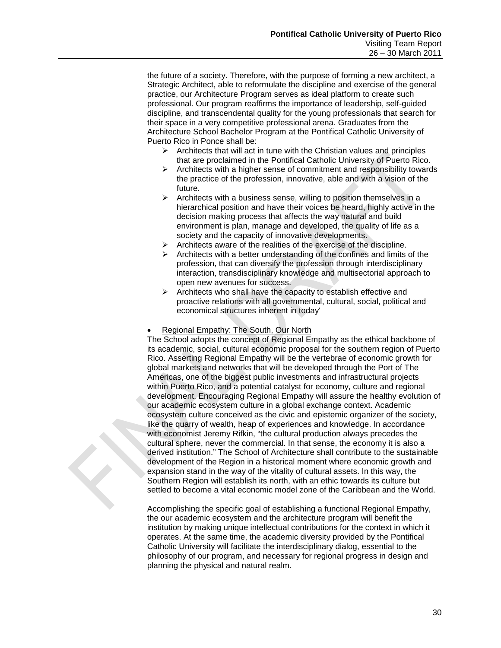the future of a society. Therefore, with the purpose of forming a new architect, a Strategic Architect, able to reformulate the discipline and exercise of the general practice, our Architecture Program serves as ideal platform to create such professional. Our program reaffirms the importance of leadership, self-guided discipline, and transcendental quality for the young professionals that search for their space in a very competitive professional arena. Graduates from the Architecture School Bachelor Program at the Pontifical Catholic University of Puerto Rico in Ponce shall be:

- $\triangleright$  Architects that will act in tune with the Christian values and principles that are proclaimed in the Pontifical Catholic University of Puerto Rico.
- $\triangleright$  Architects with a higher sense of commitment and responsibility towards the practice of the profession, innovative, able and with a vision of the future.
- $\triangleright$  Architects with a business sense, willing to position themselves in a hierarchical position and have their voices be heard, highly active in the decision making process that affects the way natural and build environment is plan, manage and developed, the quality of life as a society and the capacity of innovative developments.
- $\triangleright$  Architects aware of the realities of the exercise of the discipline.
- $\triangleright$  Architects with a better understanding of the confines and limits of the profession, that can diversify the profession through interdisciplinary interaction, transdisciplinary knowledge and multisectorial approach to open new avenues for success.
- $\triangleright$  Architects who shall have the capacity to establish effective and proactive relations with all governmental, cultural, social, political and economical structures inherent in today'

#### • Regional Empathy: The South, Our North

The School adopts the concept of Regional Empathy as the ethical backbone of its academic, social, cultural economic proposal for the southern region of Puerto Rico. Asserting Regional Empathy will be the vertebrae of economic growth for global markets and networks that will be developed through the Port of The Americas, one of the biggest public investments and infrastructural projects within Puerto Rico, and a potential catalyst for economy, culture and regional development. Encouraging Regional Empathy will assure the healthy evolution of our academic ecosystem culture in a global exchange context. Academic ecosystem culture conceived as the civic and epistemic organizer of the society, like the quarry of wealth, heap of experiences and knowledge. In accordance with economist Jeremy Rifkin, "the cultural production always precedes the cultural sphere, never the commercial. In that sense, the economy it is also a derived institution." The School of Architecture shall contribute to the sustainable development of the Region in a historical moment where economic growth and expansion stand in the way of the vitality of cultural assets. In this way, the Southern Region will establish its north, with an ethic towards its culture but settled to become a vital economic model zone of the Caribbean and the World.

Accomplishing the specific goal of establishing a functional Regional Empathy, the our academic ecosystem and the architecture program will benefit the institution by making unique intellectual contributions for the context in which it operates. At the same time, the academic diversity provided by the Pontifical Catholic University will facilitate the interdisciplinary dialog, essential to the philosophy of our program, and necessary for regional progress in design and planning the physical and natural realm.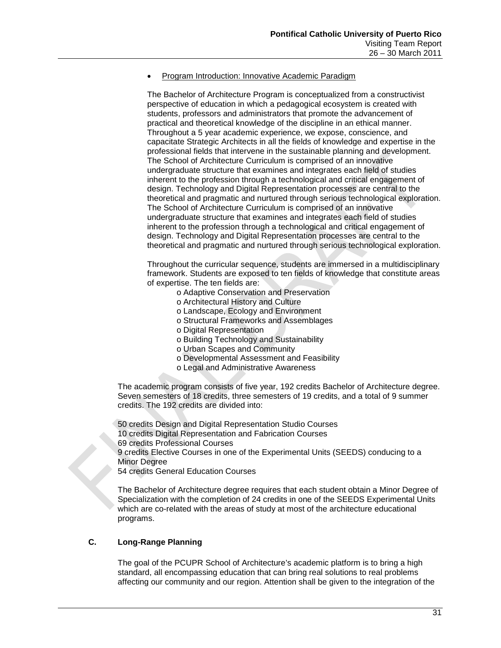### • Program Introduction: Innovative Academic Paradigm

The Bachelor of Architecture Program is conceptualized from a constructivist perspective of education in which a pedagogical ecosystem is created with students, professors and administrators that promote the advancement of practical and theoretical knowledge of the discipline in an ethical manner. Throughout a 5 year academic experience, we expose, conscience, and capacitate Strategic Architects in all the fields of knowledge and expertise in the professional fields that intervene in the sustainable planning and development. The School of Architecture Curriculum is comprised of an innovative undergraduate structure that examines and integrates each field of studies inherent to the profession through a technological and critical engagement of design. Technology and Digital Representation processes are central to the theoretical and pragmatic and nurtured through serious technological exploration. The School of Architecture Curriculum is comprised of an innovative undergraduate structure that examines and integrates each field of studies inherent to the profession through a technological and critical engagement of design. Technology and Digital Representation processes are central to the theoretical and pragmatic and nurtured through serious technological exploration.

Throughout the curricular sequence, students are immersed in a multidisciplinary framework. Students are exposed to ten fields of knowledge that constitute areas of expertise. The ten fields are:

- o Adaptive Conservation and Preservation
	- o Architectural History and Culture
	- o Landscape, Ecology and Environment
- o Structural Frameworks and Assemblages
- o Digital Representation
- o Building Technology and Sustainability
- o Urban Scapes and Community
- o Developmental Assessment and Feasibility
- o Legal and Administrative Awareness

The academic program consists of five year, 192 credits Bachelor of Architecture degree. Seven semesters of 18 credits, three semesters of 19 credits, and a total of 9 summer credits. The 192 credits are divided into:

50 credits Design and Digital Representation Studio Courses 10 credits Digital Representation and Fabrication Courses 69 credits Professional Courses 9 credits Elective Courses in one of the Experimental Units (SEEDS) conducing to a Minor Degree 54 credits General Education Courses

The Bachelor of Architecture degree requires that each student obtain a Minor Degree of

Specialization with the completion of 24 credits in one of the SEEDS Experimental Units which are co-related with the areas of study at most of the architecture educational programs.

### **C. Long-Range Planning**

The goal of the PCUPR School of Architecture's academic platform is to bring a high standard, all encompassing education that can bring real solutions to real problems affecting our community and our region. Attention shall be given to the integration of the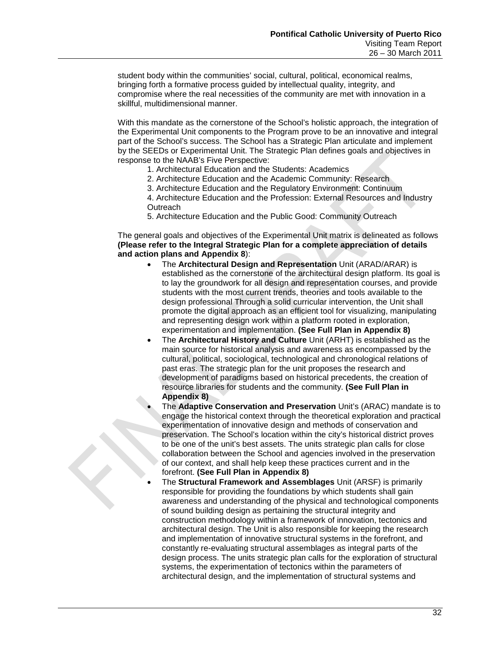student body within the communities' social, cultural, political, economical realms, bringing forth a formative process guided by intellectual quality, integrity, and compromise where the real necessities of the community are met with innovation in a skillful, multidimensional manner.

With this mandate as the cornerstone of the School's holistic approach, the integration of the Experimental Unit components to the Program prove to be an innovative and integral part of the School's success. The School has a Strategic Plan articulate and implement by the SEEDs or Experimental Unit. The Strategic Plan defines goals and objectives in response to the NAAB's Five Perspective:

- 1. Architectural Education and the Students: Academics
- 2. Architecture Education and the Academic Community: Research
- 3. Architecture Education and the Regulatory Environment: Continuum

4. Architecture Education and the Profession: External Resources and Industry **Outreach** 

5. Architecture Education and the Public Good: Community Outreach

The general goals and objectives of the Experimental Unit matrix is delineated as follows **(Please refer to the Integral Strategic Plan for a complete appreciation of details and action plans and Appendix 8**):

- The **Architectural Design and Representation** Unit (ARAD/ARAR) is established as the cornerstone of the architectural design platform. Its goal is to lay the groundwork for all design and representation courses, and provide students with the most current trends, theories and tools available to the design professional Through a solid curricular intervention, the Unit shall promote the digital approach as an efficient tool for visualizing, manipulating and representing design work within a platform rooted in exploration, experimentation and implementation. **(See Full Plan in Appendix 8)**
- The **Architectural History and Culture** Unit (ARHT) is established as the main source for historical analysis and awareness as encompassed by the cultural, political, sociological, technological and chronological relations of past eras. The strategic plan for the unit proposes the research and development of paradigms based on historical precedents, the creation of resource libraries for students and the community. **(See Full Plan in Appendix 8)**
- The **Adaptive Conservation and Preservation** Unit's (ARAC) mandate is to engage the historical context through the theoretical exploration and practical experimentation of innovative design and methods of conservation and preservation. The School's location within the city's historical district proves to be one of the unit's best assets. The units strategic plan calls for close collaboration between the School and agencies involved in the preservation of our context, and shall help keep these practices current and in the forefront. **(See Full Plan in Appendix 8)**
- The **Structural Framework and Assemblages** Unit (ARSF) is primarily responsible for providing the foundations by which students shall gain awareness and understanding of the physical and technological components of sound building design as pertaining the structural integrity and construction methodology within a framework of innovation, tectonics and architectural design. The Unit is also responsible for keeping the research and implementation of innovative structural systems in the forefront, and constantly re-evaluating structural assemblages as integral parts of the design process. The units strategic plan calls for the exploration of structural systems, the experimentation of tectonics within the parameters of architectural design, and the implementation of structural systems and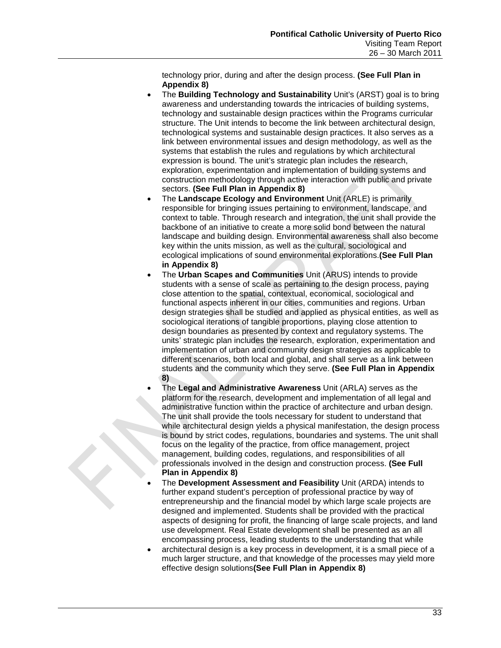technology prior, during and after the design process. **(See Full Plan in Appendix 8)** 

- The **Building Technology and Sustainability** Unit's (ARST) goal is to bring awareness and understanding towards the intricacies of building systems, technology and sustainable design practices within the Programs curricular structure. The Unit intends to become the link between architectural design, technological systems and sustainable design practices. It also serves as a link between environmental issues and design methodology, as well as the systems that establish the rules and regulations by which architectural expression is bound. The unit's strategic plan includes the research, exploration, experimentation and implementation of building systems and construction methodology through active interaction with public and private sectors. **(See Full Plan in Appendix 8)**
- The **Landscape Ecology and Environment** Unit (ARLE) is primarily responsible for bringing issues pertaining to environment, landscape, and context to table. Through research and integration, the unit shall provide the backbone of an initiative to create a more solid bond between the natural landscape and building design. Environmental awareness shall also become key within the units mission, as well as the cultural, sociological and ecological implications of sound environmental explorations.**(See Full Plan in Appendix 8)**
- The **Urban Scapes and Communities** Unit (ARUS) intends to provide students with a sense of scale as pertaining to the design process, paying close attention to the spatial, contextual, economical, sociological and functional aspects inherent in our cities, communities and regions. Urban design strategies shall be studied and applied as physical entities, as well as sociological iterations of tangible proportions, playing close attention to design boundaries as presented by context and regulatory systems. The units' strategic plan includes the research, exploration, experimentation and implementation of urban and community design strategies as applicable to different scenarios, both local and global, and shall serve as a link between students and the community which they serve. **(See Full Plan in Appendix 8)**
- The **Legal and Administrative Awareness** Unit (ARLA) serves as the platform for the research, development and implementation of all legal and administrative function within the practice of architecture and urban design. The unit shall provide the tools necessary for student to understand that while architectural design yields a physical manifestation, the design process is bound by strict codes, regulations, boundaries and systems. The unit shall focus on the legality of the practice, from office management, project management, building codes, regulations, and responsibilities of all professionals involved in the design and construction process. **(See Full Plan in Appendix 8)**
- The **Development Assessment and Feasibility** Unit (ARDA) intends to further expand student's perception of professional practice by way of entrepreneurship and the financial model by which large scale projects are designed and implemented. Students shall be provided with the practical aspects of designing for profit, the financing of large scale projects, and land use development. Real Estate development shall be presented as an all encompassing process, leading students to the understanding that while
- architectural design is a key process in development, it is a small piece of a much larger structure, and that knowledge of the processes may yield more effective design solutions**(See Full Plan in Appendix 8)**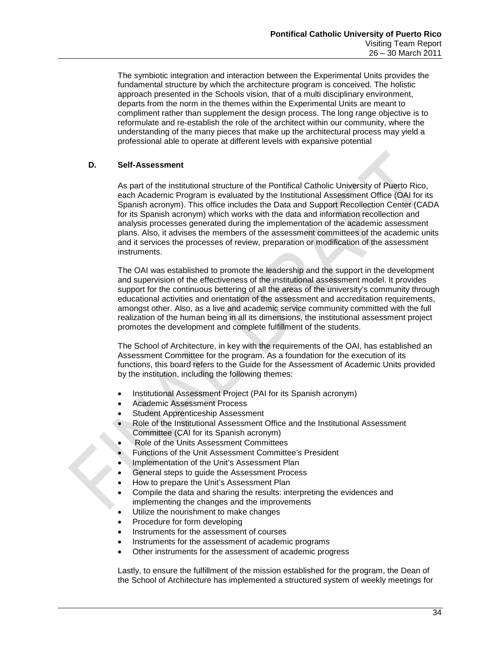The symbiotic integration and interaction between the Experimental Units provides the fundamental structure by which the architecture program is conceived. The holistic approach presented in the Schools vision, that of a multi disciplinary environment, departs from the norm in the themes within the Experimental Units are meant to compliment rather than supplement the design process. The long range objective is to reformulate and re-establish the role of the architect within our community, where the understanding of the many pieces that make up the architectural process may yield a professional able to operate at different levels with expansive potential

### **D. Self-Assessment**

As part of the institutional structure of the Pontifical Catholic University of Puerto Rico, each Academic Program is evaluated by the Institutional Assessment Office (OAI for its Spanish acronym). This office includes the Data and Support Recollection Center (CADA for its Spanish acronym) which works with the data and information recollection and analysis processes generated during the implementation of the academic assessment plans. Also, it advises the members of the assessment committees of the academic units and it services the processes of review, preparation or modification of the assessment instruments.

The OAI was established to promote the leadership and the support in the development and supervision of the effectiveness of the institutional assessment model. It provides support for the continuous bettering of all the areas of the university's community through educational activities and orientation of the assessment and accreditation requirements, amongst other. Also, as a live and academic service community committed with the full realization of the human being in all its dimensions, the institutional assessment project promotes the development and complete fulfillment of the students.

The School of Architecture, in key with the requirements of the OAI, has established an Assessment Committee for the program. As a foundation for the execution of its functions, this board refers to the Guide for the Assessment of Academic Units provided by the institution, including the following themes:

- Institutional Assessment Project (PAI for its Spanish acronym)
- Academic Assessment Process
- Student Apprenticeship Assessment
- Role of the Institutional Assessment Office and the Institutional Assessment Committee (CAI for its Spanish acronym)
- Role of the Units Assessment Committees
- Functions of the Unit Assessment Committee's President
- Implementation of the Unit's Assessment Plan
- General steps to guide the Assessment Process
- How to prepare the Unit's Assessment Plan
- Compile the data and sharing the results: interpreting the evidences and implementing the changes and the improvements
- Utilize the nourishment to make changes
- Procedure for form developing
- Instruments for the assessment of courses
- Instruments for the assessment of academic programs
- Other instruments for the assessment of academic progress

Lastly, to ensure the fulfillment of the mission established for the program, the Dean of the School of Architecture has implemented a structured system of weekly meetings for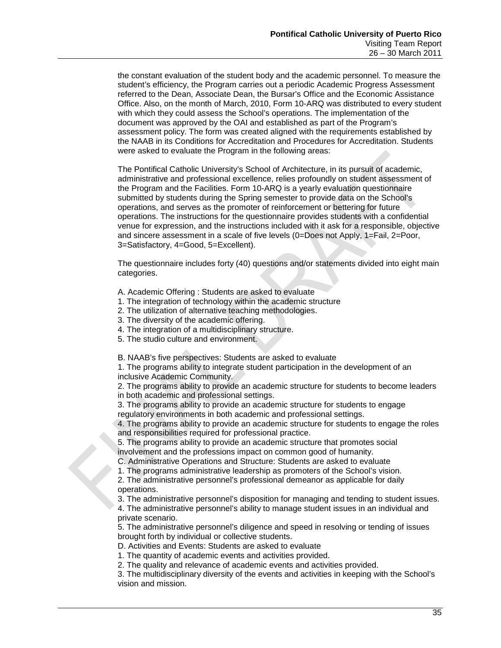the constant evaluation of the student body and the academic personnel. To measure the student's efficiency, the Program carries out a periodic Academic Progress Assessment referred to the Dean, Associate Dean, the Bursar's Office and the Economic Assistance Office. Also, on the month of March, 2010, Form 10-ARQ was distributed to every student with which they could assess the School's operations. The implementation of the document was approved by the OAI and established as part of the Program's assessment policy. The form was created aligned with the requirements established by the NAAB in its Conditions for Accreditation and Procedures for Accreditation. Students were asked to evaluate the Program in the following areas:

The Pontifical Catholic University's School of Architecture, in its pursuit of academic, administrative and professional excellence, relies profoundly on student assessment of the Program and the Facilities. Form 10-ARQ is a yearly evaluation questionnaire submitted by students during the Spring semester to provide data on the School's operations, and serves as the promoter of reinforcement or bettering for future operations. The instructions for the questionnaire provides students with a confidential venue for expression, and the instructions included with it ask for a responsible, objective and sincere assessment in a scale of five levels (0=Does not Apply, 1=Fail, 2=Poor, 3=Satisfactory, 4=Good, 5=Excellent).

The questionnaire includes forty (40) questions and/or statements divided into eight main categories.

A. Academic Offering : Students are asked to evaluate

- 1. The integration of technology within the academic structure
- 2. The utilization of alternative teaching methodologies.
- 3. The diversity of the academic offering.
- 4. The integration of a multidisciplinary structure.
- 5. The studio culture and environment.

B. NAAB's five perspectives: Students are asked to evaluate

1. The programs ability to integrate student participation in the development of an inclusive Academic Community.

2. The programs ability to provide an academic structure for students to become leaders in both academic and professional settings.

3. The programs ability to provide an academic structure for students to engage regulatory environments in both academic and professional settings.

4. The programs ability to provide an academic structure for students to engage the roles and responsibilities required for professional practice.

5. The programs ability to provide an academic structure that promotes social involvement and the professions impact on common good of humanity.

C. Administrative Operations and Structure: Students are asked to evaluate

1. The programs administrative leadership as promoters of the School's vision.

2. The administrative personnel's professional demeanor as applicable for daily operations.

3. The administrative personnel's disposition for managing and tending to student issues.

4. The administrative personnel's ability to manage student issues in an individual and private scenario.

5. The administrative personnel's diligence and speed in resolving or tending of issues brought forth by individual or collective students.

D. Activities and Events: Students are asked to evaluate

1. The quantity of academic events and activities provided.

2. The quality and relevance of academic events and activities provided.

3. The multidisciplinary diversity of the events and activities in keeping with the School's vision and mission.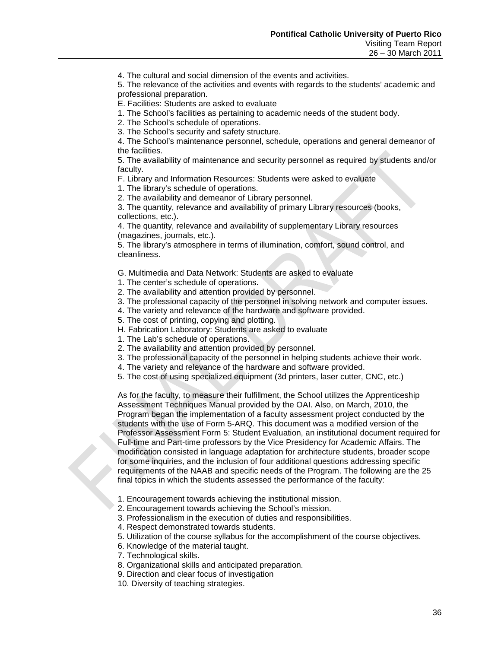4. The cultural and social dimension of the events and activities.

5. The relevance of the activities and events with regards to the students' academic and professional preparation.

E. Facilities: Students are asked to evaluate

1. The School's facilities as pertaining to academic needs of the student body.

2. The School's schedule of operations.

3. The School's security and safety structure.

4. The School's maintenance personnel, schedule, operations and general demeanor of the facilities.

5. The availability of maintenance and security personnel as required by students and/or faculty.

F. Library and Information Resources: Students were asked to evaluate

1. The library's schedule of operations.

2. The availability and demeanor of Library personnel.

3. The quantity, relevance and availability of primary Library resources (books, collections, etc.).

4. The quantity, relevance and availability of supplementary Library resources (magazines, journals, etc.).

5. The library's atmosphere in terms of illumination, comfort, sound control, and cleanliness.

G. Multimedia and Data Network: Students are asked to evaluate

1. The center's schedule of operations.

2. The availability and attention provided by personnel.

3. The professional capacity of the personnel in solving network and computer issues.

- 4. The variety and relevance of the hardware and software provided.
- 5. The cost of printing, copying and plotting.

H. Fabrication Laboratory: Students are asked to evaluate

1. The Lab's schedule of operations.

- 2. The availability and attention provided by personnel.
- 3. The professional capacity of the personnel in helping students achieve their work.
- 4. The variety and relevance of the hardware and software provided.
- 5. The cost of using specialized equipment (3d printers, laser cutter, CNC, etc.)

As for the faculty, to measure their fulfillment, the School utilizes the Apprenticeship Assessment Techniques Manual provided by the OAI. Also, on March, 2010, the Program began the implementation of a faculty assessment project conducted by the students with the use of Form 5-ARQ. This document was a modified version of the Professor Assessment Form 5: Student Evaluation, an institutional document required for Full-time and Part-time professors by the Vice Presidency for Academic Affairs. The modification consisted in language adaptation for architecture students, broader scope for some inquiries, and the inclusion of four additional questions addressing specific requirements of the NAAB and specific needs of the Program. The following are the 25 final topics in which the students assessed the performance of the faculty:

- 1. Encouragement towards achieving the institutional mission.
- 2. Encouragement towards achieving the School's mission.
- 3. Professionalism in the execution of duties and responsibilities.
- 4. Respect demonstrated towards students.
- 5. Utilization of the course syllabus for the accomplishment of the course objectives.
- 6. Knowledge of the material taught.
- 7. Technological skills.
- 8. Organizational skills and anticipated preparation.
- 9. Direction and clear focus of investigation
- 10. Diversity of teaching strategies.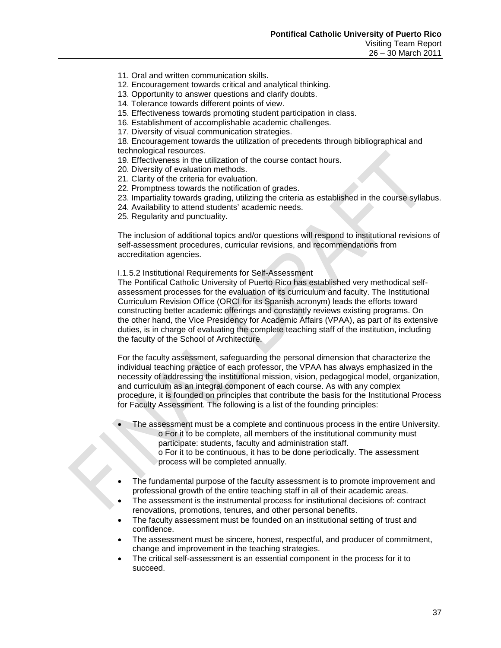- 11. Oral and written communication skills.
- 12. Encouragement towards critical and analytical thinking.
- 13. Opportunity to answer questions and clarify doubts.
- 14. Tolerance towards different points of view.
- 15. Effectiveness towards promoting student participation in class.
- 16. Establishment of accomplishable academic challenges.
- 17. Diversity of visual communication strategies.

18. Encouragement towards the utilization of precedents through bibliographical and technological resources.

- 19. Effectiveness in the utilization of the course contact hours.
- 20. Diversity of evaluation methods.
- 21. Clarity of the criteria for evaluation.
- 22. Promptness towards the notification of grades.
- 23. Impartiality towards grading, utilizing the criteria as established in the course syllabus.
- 24. Availability to attend students' academic needs.
- 25. Regularity and punctuality.

The inclusion of additional topics and/or questions will respond to institutional revisions of self-assessment procedures, curricular revisions, and recommendations from accreditation agencies.

#### I.1.5.2 Institutional Requirements for Self-Assessment

The Pontifical Catholic University of Puerto Rico has established very methodical selfassessment processes for the evaluation of its curriculum and faculty. The Institutional Curriculum Revision Office (ORCI for its Spanish acronym) leads the efforts toward constructing better academic offerings and constantly reviews existing programs. On the other hand, the Vice Presidency for Academic Affairs (VPAA), as part of its extensive duties, is in charge of evaluating the complete teaching staff of the institution, including the faculty of the School of Architecture.

For the faculty assessment, safeguarding the personal dimension that characterize the individual teaching practice of each professor, the VPAA has always emphasized in the necessity of addressing the institutional mission, vision, pedagogical model, organization, and curriculum as an integral component of each course. As with any complex procedure, it is founded on principles that contribute the basis for the Institutional Process for Faculty Assessment. The following is a list of the founding principles:

- The assessment must be a complete and continuous process in the entire University. o For it to be complete, all members of the institutional community must participate: students, faculty and administration staff. o For it to be continuous, it has to be done periodically. The assessment
	- process will be completed annually.
- The fundamental purpose of the faculty assessment is to promote improvement and professional growth of the entire teaching staff in all of their academic areas.
- The assessment is the instrumental process for institutional decisions of: contract renovations, promotions, tenures, and other personal benefits.
- The faculty assessment must be founded on an institutional setting of trust and confidence.
- The assessment must be sincere, honest, respectful, and producer of commitment, change and improvement in the teaching strategies.
- The critical self-assessment is an essential component in the process for it to succeed.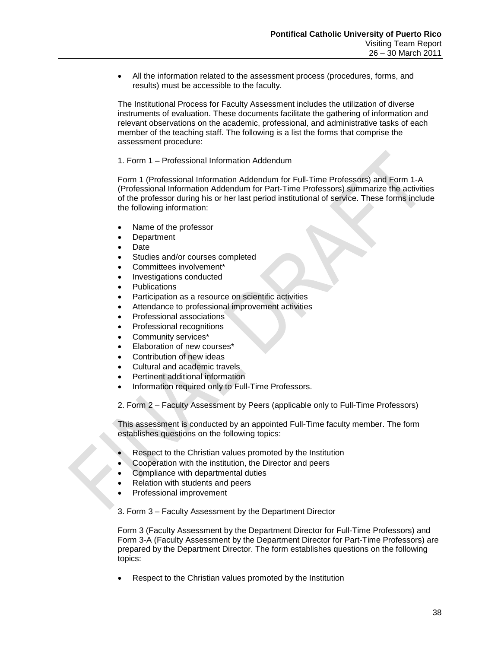• All the information related to the assessment process (procedures, forms, and results) must be accessible to the faculty.

The Institutional Process for Faculty Assessment includes the utilization of diverse instruments of evaluation. These documents facilitate the gathering of information and relevant observations on the academic, professional, and administrative tasks of each member of the teaching staff. The following is a list the forms that comprise the assessment procedure:

### 1. Form 1 – Professional Information Addendum

Form 1 (Professional Information Addendum for Full-Time Professors) and Form 1-A (Professional Information Addendum for Part-Time Professors) summarize the activities of the professor during his or her last period institutional of service. These forms include the following information:

- Name of the professor
- **Department**
- Date
- Studies and/or courses completed
- Committees involvement\*
- Investigations conducted
- **Publications**
- Participation as a resource on scientific activities
- Attendance to professional improvement activities
- Professional associations
- Professional recognitions
- Community services\*
- Elaboration of new courses\*
- Contribution of new ideas
- Cultural and academic travels
- Pertinent additional information
- Information required only to Full-Time Professors.

2. Form 2 – Faculty Assessment by Peers (applicable only to Full-Time Professors)

This assessment is conducted by an appointed Full-Time faculty member. The form establishes questions on the following topics:

- Respect to the Christian values promoted by the Institution
- Cooperation with the institution, the Director and peers
- Compliance with departmental duties
- Relation with students and peers
- Professional improvement

3. Form 3 – Faculty Assessment by the Department Director

Form 3 (Faculty Assessment by the Department Director for Full-Time Professors) and Form 3-A (Faculty Assessment by the Department Director for Part-Time Professors) are prepared by the Department Director. The form establishes questions on the following topics:

• Respect to the Christian values promoted by the Institution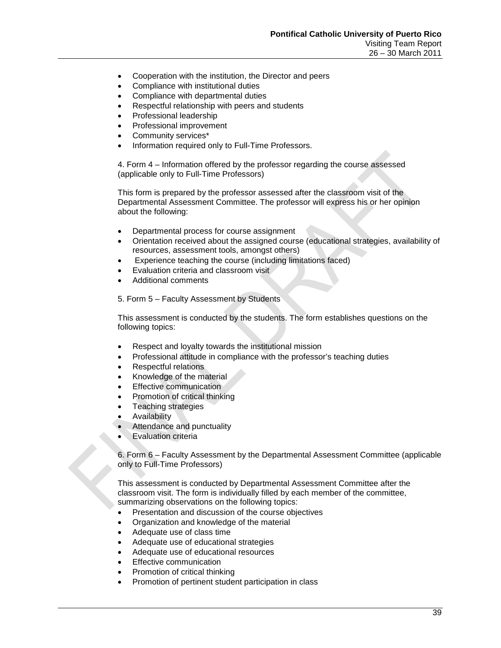- Cooperation with the institution, the Director and peers
- Compliance with institutional duties
- Compliance with departmental duties
- Respectful relationship with peers and students
- Professional leadership
- Professional improvement
- Community services\*
- Information required only to Full-Time Professors.

4. Form 4 – Information offered by the professor regarding the course assessed (applicable only to Full-Time Professors)

This form is prepared by the professor assessed after the classroom visit of the Departmental Assessment Committee. The professor will express his or her opinion about the following:

- Departmental process for course assignment
- Orientation received about the assigned course (educational strategies, availability of resources, assessment tools, amongst others)
- Experience teaching the course (including limitations faced)
- Evaluation criteria and classroom visit
- Additional comments

5. Form 5 – Faculty Assessment by Students

This assessment is conducted by the students. The form establishes questions on the following topics:

- Respect and loyalty towards the institutional mission
- Professional attitude in compliance with the professor's teaching duties
- Respectful relations
- Knowledge of the material
- **Effective communication**
- Promotion of critical thinking
- Teaching strategies
- Availability
- Attendance and punctuality
- Evaluation criteria

6. Form 6 – Faculty Assessment by the Departmental Assessment Committee (applicable only to Full-Time Professors)

This assessment is conducted by Departmental Assessment Committee after the classroom visit. The form is individually filled by each member of the committee, summarizing observations on the following topics:

- Presentation and discussion of the course objectives
- Organization and knowledge of the material
- Adequate use of class time
- Adequate use of educational strategies
- Adequate use of educational resources
- **Effective communication**
- Promotion of critical thinking
- Promotion of pertinent student participation in class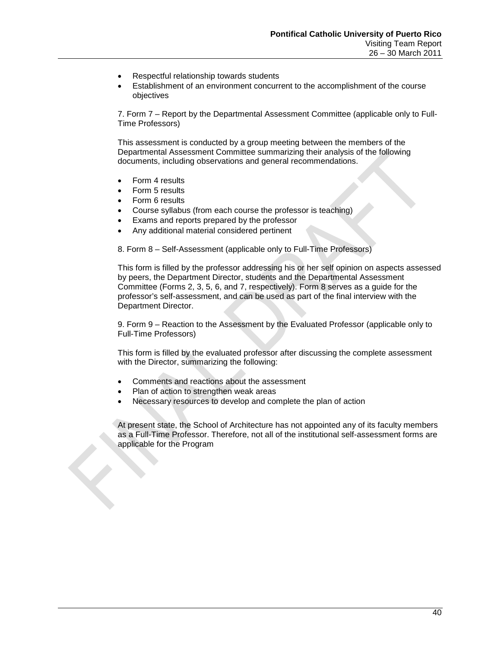- Respectful relationship towards students
- Establishment of an environment concurrent to the accomplishment of the course objectives

7. Form 7 – Report by the Departmental Assessment Committee (applicable only to Full-Time Professors)

This assessment is conducted by a group meeting between the members of the Departmental Assessment Committee summarizing their analysis of the following documents, including observations and general recommendations.

- Form 4 results
- Form 5 results
- Form 6 results
- Course syllabus (from each course the professor is teaching)
- Exams and reports prepared by the professor
- Any additional material considered pertinent

8. Form 8 – Self-Assessment (applicable only to Full-Time Professors)

This form is filled by the professor addressing his or her self opinion on aspects assessed by peers, the Department Director, students and the Departmental Assessment Committee (Forms 2, 3, 5, 6, and 7, respectively). Form 8 serves as a guide for the professor's self-assessment, and can be used as part of the final interview with the Department Director.

9. Form 9 – Reaction to the Assessment by the Evaluated Professor (applicable only to Full-Time Professors)

This form is filled by the evaluated professor after discussing the complete assessment with the Director, summarizing the following:

- Comments and reactions about the assessment
- Plan of action to strengthen weak areas
- Necessary resources to develop and complete the plan of action

At present state, the School of Architecture has not appointed any of its faculty members as a Full-Time Professor. Therefore, not all of the institutional self-assessment forms are applicable for the Program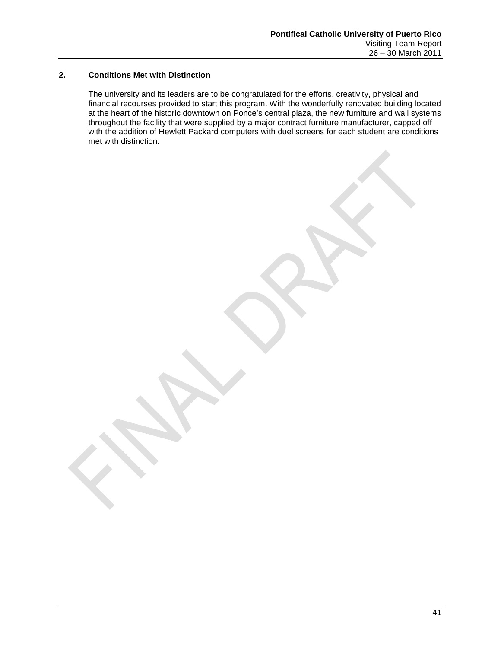### **2. Conditions Met with Distinction**

The university and its leaders are to be congratulated for the efforts, creativity, physical and financial recourses provided to start this program. With the wonderfully renovated building located at the heart of the historic downtown on Ponce's central plaza, the new furniture and wall systems throughout the facility that were supplied by a major contract furniture manufacturer, capped off with the addition of Hewlett Packard computers with duel screens for each student are conditions met with distinction.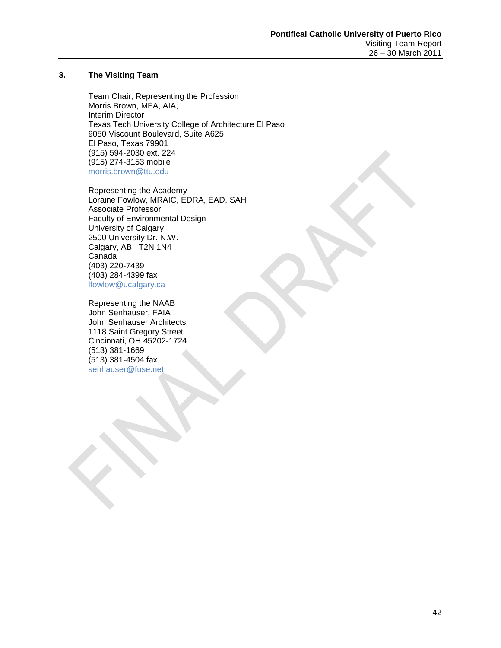### **3. The Visiting Team**

Team Chair, Representing the Profession Morris Brown, MFA, AIA, Interim Director Texas Tech University College of Architecture El Paso 9050 Viscount Boulevard, Suite A625 El Paso, Texas 79901 (915) 594-2030 ext. 224 (915) 274-3153 mobile [morris.brown@ttu.edu](mailto:morris.brown@ttu.edu)

Representing the Academy Loraine Fowlow, MRAIC, EDRA, EAD, SAH Associate Professor Faculty of Environmental Design University of Calgary 2500 University Dr. N.W. Calgary, AB T2N 1N4 Canada (403) 220-7439 (403) 284-4399 fax [lfowlow@ucalgary.ca](mailto:lfowlow@ucalgary.ca)

Representing the NAAB John Senhauser, FAIA John Senhauser Architects 1118 Saint Gregory Street Cincinnati, OH 45202-1724 (513) 381-1669 (513) 381-4504 fax [senhauser@fuse.net](mailto:senhauser@fuse.net)